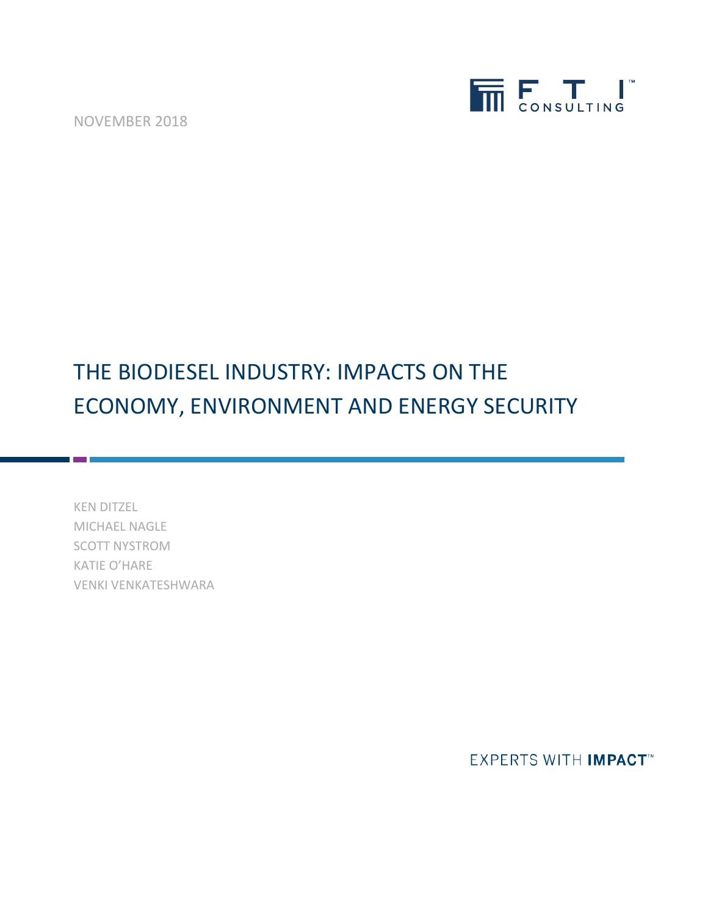NOVEMBER 2018



# THE BIODIESEL INDUSTRY: IMPACTS ON THE ECONOMY, ENVIRONMENT AND ENERGY SECURITY

KEN DITZEL MICHAEL NAGLE SCOTT NYSTROM KATIE O'HARE VENKI VENKATESHWARA

**EXPERTS WITH IMPACT**<sup>\*\*</sup>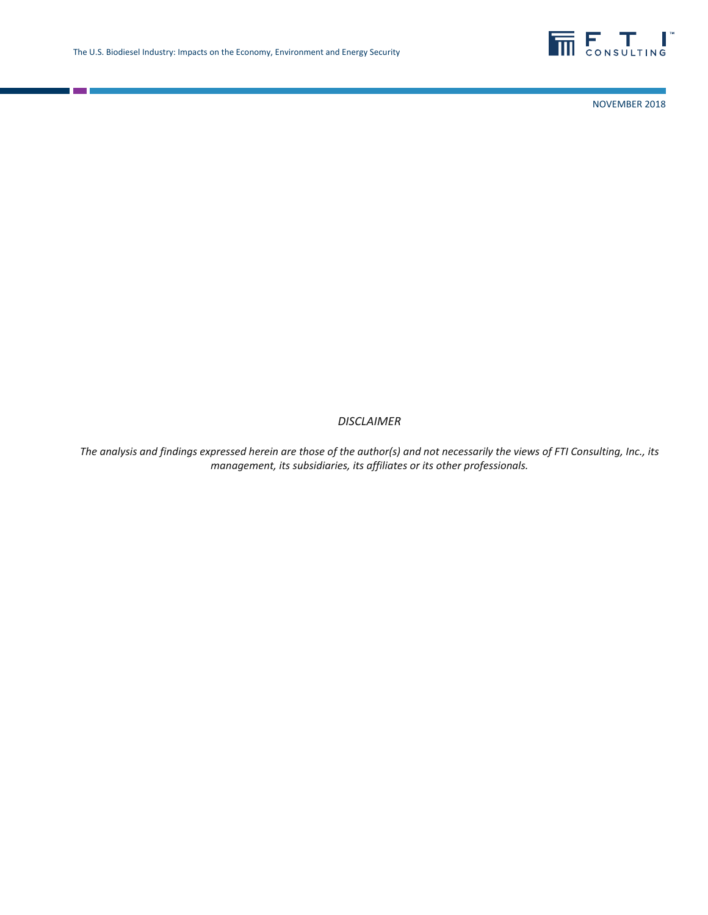

NOVEMBER 2018

### *DISCLAIMER*

*The analysis and findings expressed herein are those of the author(s) and not necessarily the views of FTI Consulting, Inc., its management, its subsidiaries, its affiliates or its other professionals.*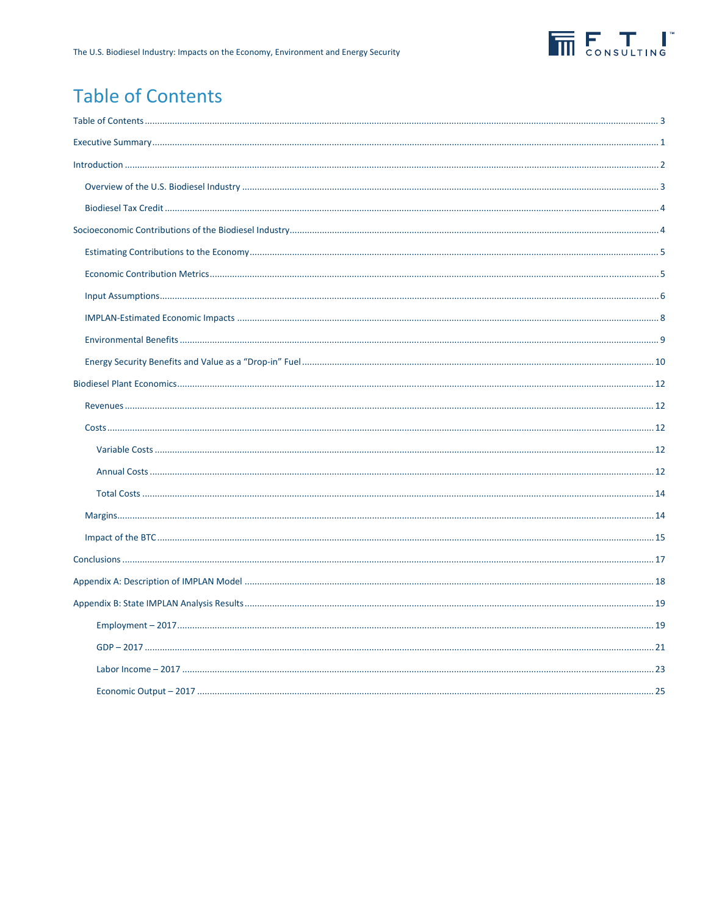

## **Table of Contents**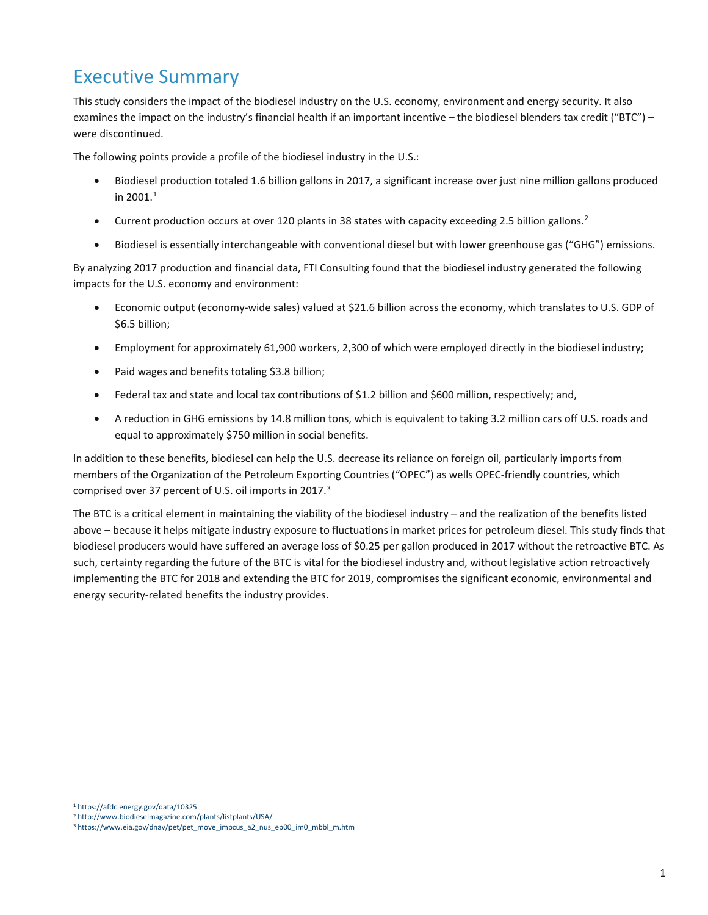## Executive Summary

This study considers the impact of the biodiesel industry on the U.S. economy, environment and energy security. It also examines the impact on the industry's financial health if an important incentive – the biodiesel blenders tax credit ("BTC") – were discontinued.

The following points provide a profile of the biodiesel industry in the U.S.:

- Biodiesel production totaled 1.6 billion gallons in 2017, a significant increase over just nine million gallons produced in 200[1](#page-3-0). $^1$
- Current production occurs at over 1[2](#page-3-1)0 plants in 38 states with capacity exceeding 2.5 billion gallons.<sup>2</sup>
- Biodiesel is essentially interchangeable with conventional diesel but with lower greenhouse gas ("GHG") emissions.

By analyzing 2017 production and financial data, FTI Consulting found that the biodiesel industry generated the following impacts for the U.S. economy and environment:

- Economic output (economy-wide sales) valued at \$21.6 billion across the economy, which translates to U.S. GDP of \$6.5 billion;
- Employment for approximately 61,900 workers, 2,300 of which were employed directly in the biodiesel industry;
- Paid wages and benefits totaling \$3.8 billion;
- Federal tax and state and local tax contributions of \$1.2 billion and \$600 million, respectively; and,
- A reduction in GHG emissions by 14.8 million tons, which is equivalent to taking 3.2 million cars off U.S. roads and equal to approximately \$750 million in social benefits.

In addition to these benefits, biodiesel can help the U.S. decrease its reliance on foreign oil, particularly imports from members of the Organization of the Petroleum Exporting Countries ("OPEC") as wells OPEC-friendly countries, which comprised over 37 percent of U.S. oil imports in 2017.[3](#page-3-2)

The BTC is a critical element in maintaining the viability of the biodiesel industry – and the realization of the benefits listed above – because it helps mitigate industry exposure to fluctuations in market prices for petroleum diesel. This study finds that biodiesel producers would have suffered an average loss of \$0.25 per gallon produced in 2017 without the retroactive BTC. As such, certainty regarding the future of the BTC is vital for the biodiesel industry and, without legislative action retroactively implementing the BTC for 2018 and extending the BTC for 2019, compromises the significant economic, environmental and energy security-related benefits the industry provides.

<span id="page-3-0"></span><sup>1</sup> <https://afdc.energy.gov/data/10325>

<span id="page-3-1"></span><sup>2</sup> <http://www.biodieselmagazine.com/plants/listplants/USA/>

<span id="page-3-2"></span><sup>3</sup> [https://www.eia.gov/dnav/pet/pet\\_move\\_impcus\\_a2\\_nus\\_ep00\\_im0\\_mbbl\\_m.htm](https://www.eia.gov/dnav/pet/pet_move_impcus_a2_nus_ep00_im0_mbbl_m.htm)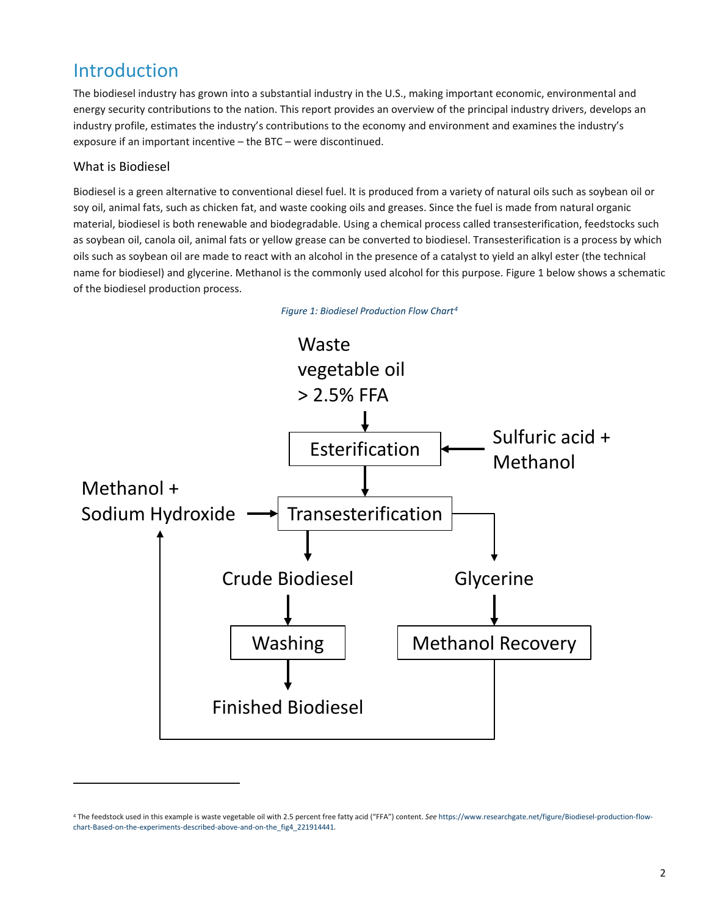## Introduction

The biodiesel industry has grown into a substantial industry in the U.S., making important economic, environmental and energy security contributions to the nation. This report provides an overview of the principal industry drivers, develops an industry profile, estimates the industry's contributions to the economy and environment and examines the industry's exposure if an important incentive – the BTC – were discontinued.

## What is Biodiesel

<u>.</u>

Biodiesel is a green alternative to conventional diesel fuel. It is produced from a variety of natural oils such as soybean oil or soy oil, animal fats, such as chicken fat, and waste cooking oils and greases. Since the fuel is made from natural organic material, biodiesel is both renewable and biodegradable. Using a chemical process called transesterification, feedstocks such as soybean oil, canola oil, animal fats or yellow grease can be converted to biodiesel. Transesterification is a process by which oils such as soybean oil are made to react with an alcohol in the presence of a catalyst to yield an alkyl ester (the technical name for biodiesel) and glycerine. Methanol is the commonly used alcohol for this purpose. Figure 1 below shows a schematic of the biodiesel production process.



*Figure 1: Biodiesel Production Flow Chart[4](#page-4-0)*

<span id="page-4-0"></span><sup>4</sup> The feedstock used in this example is waste vegetable oil with 2.5 percent free fatty acid ("FFA") content. *See* [https://www.researchgate.net/figure/Biodiesel-production-flow](https://www.researchgate.net/figure/Biodiesel-production-flow-chart-Based-on-the-experiments-described-above-and-on-the_fig4_221914441)[chart-Based-on-the-experiments-described-above-and-on-the\\_fig4\\_221914441](https://www.researchgate.net/figure/Biodiesel-production-flow-chart-Based-on-the-experiments-described-above-and-on-the_fig4_221914441)*.*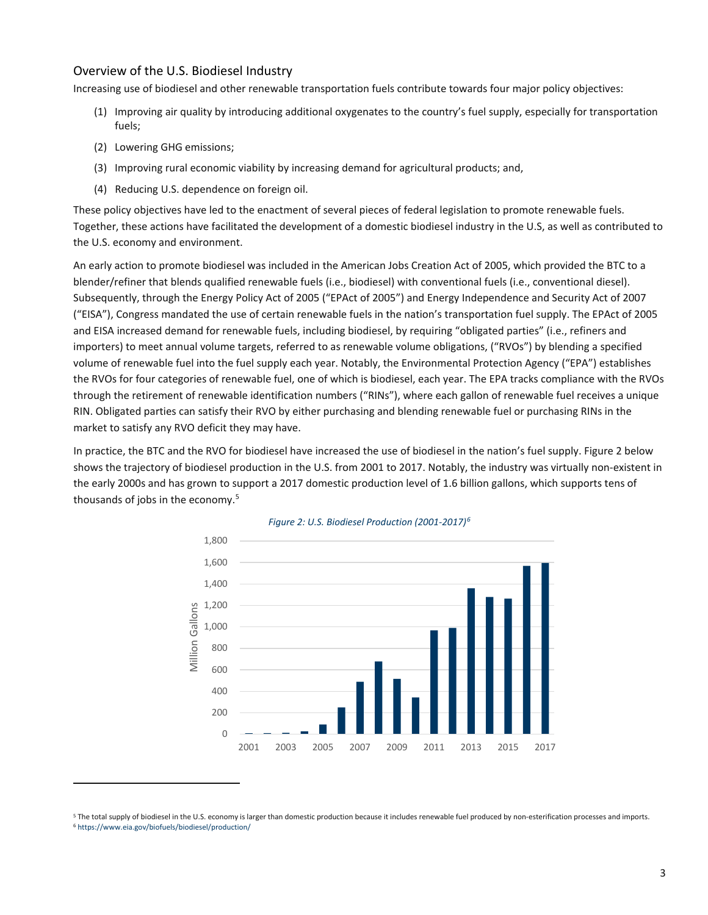### Overview of the U.S. Biodiesel Industry

Increasing use of biodiesel and other renewable transportation fuels contribute towards four major policy objectives:

- (1) Improving air quality by introducing additional oxygenates to the country's fuel supply, especially for transportation fuels;
- (2) Lowering GHG emissions;

<u>.</u>

- (3) Improving rural economic viability by increasing demand for agricultural products; and,
- (4) Reducing U.S. dependence on foreign oil.

These policy objectives have led to the enactment of several pieces of federal legislation to promote renewable fuels. Together, these actions have facilitated the development of a domestic biodiesel industry in the U.S, as well as contributed to the U.S. economy and environment.

An early action to promote biodiesel was included in the American Jobs Creation Act of 2005, which provided the BTC to a blender/refiner that blends qualified renewable fuels (i.e., biodiesel) with conventional fuels (i.e., conventional diesel). Subsequently, through the Energy Policy Act of 2005 ("EPAct of 2005") and Energy Independence and Security Act of 2007 ("EISA"), Congress mandated the use of certain renewable fuels in the nation's transportation fuel supply. The EPAct of 2005 and EISA increased demand for renewable fuels, including biodiesel, by requiring "obligated parties" (i.e., refiners and importers) to meet annual volume targets, referred to as renewable volume obligations, ("RVOs") by blending a specified volume of renewable fuel into the fuel supply each year. Notably, the Environmental Protection Agency ("EPA") establishes the RVOs for four categories of renewable fuel, one of which is biodiesel, each year. The EPA tracks compliance with the RVOs through the retirement of renewable identification numbers ("RINs"), where each gallon of renewable fuel receives a unique RIN. Obligated parties can satisfy their RVO by either purchasing and blending renewable fuel or purchasing RINs in the market to satisfy any RVO deficit they may have.

<span id="page-5-0"></span>In practice, the BTC and the RVO for biodiesel have increased the use of biodiesel in the nation's fuel supply[. Figure 2](#page-5-0) below shows the trajectory of biodiesel production in the U.S. from 2001 to 2017. Notably, the industry was virtually non-existent in the early 2000s and has grown to support a 2017 domestic production level of 1.6 billion gallons, which supports tens of thousands of jobs in the economy. [5](#page-5-1)





<span id="page-5-2"></span><span id="page-5-1"></span><sup>&</sup>lt;sup>5</sup> The total supply of biodiesel in the U.S. economy is larger than domestic production because it includes renewable fuel produced by non-esterification processes and imports.<br><sup>6</sup> https://www.eia.gov/biofuels/biodiesel/p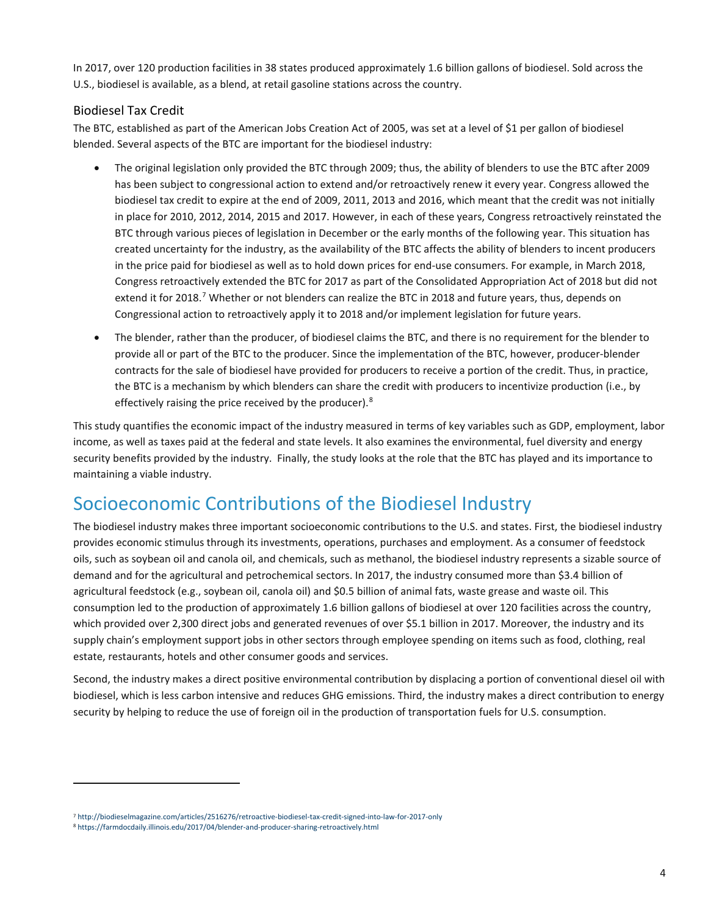In 2017, over 120 production facilities in 38 states produced approximately 1.6 billion gallons of biodiesel. Sold across the U.S., biodiesel is available, as a blend, at retail gasoline stations across the country.

## Biodiesel Tax Credit

The BTC, established as part of the American Jobs Creation Act of 2005, was set at a level of \$1 per gallon of biodiesel blended. Several aspects of the BTC are important for the biodiesel industry:

- The original legislation only provided the BTC through 2009; thus, the ability of blenders to use the BTC after 2009 has been subject to congressional action to extend and/or retroactively renew it every year. Congress allowed the biodiesel tax credit to expire at the end of 2009, 2011, 2013 and 2016, which meant that the credit was not initially in place for 2010, 2012, 2014, 2015 and 2017. However, in each of these years, Congress retroactively reinstated the BTC through various pieces of legislation in December or the early months of the following year. This situation has created uncertainty for the industry, as the availability of the BTC affects the ability of blenders to incent producers in the price paid for biodiesel as well as to hold down prices for end-use consumers. For example, in March 2018, Congress retroactively extended the BTC for 2017 as part of the Consolidated Appropriation Act of 2018 but did not extend it for 2018.<sup>[7](#page-6-0)</sup> Whether or not blenders can realize the BTC in 2018 and future years, thus, depends on Congressional action to retroactively apply it to 2018 and/or implement legislation for future years.
- The blender, rather than the producer, of biodiesel claims the BTC, and there is no requirement for the blender to provide all or part of the BTC to the producer. Since the implementation of the BTC, however, producer-blender contracts for the sale of biodiesel have provided for producers to receive a portion of the credit. Thus, in practice, the BTC is a mechanism by which blenders can share the credit with producers to incentivize production (i.e., by effectively raising the price received by the producer).<sup>[8](#page-6-1)</sup>

This study quantifies the economic impact of the industry measured in terms of key variables such as GDP, employment, labor income, as well as taxes paid at the federal and state levels. It also examines the environmental, fuel diversity and energy security benefits provided by the industry. Finally, the study looks at the role that the BTC has played and its importance to maintaining a viable industry.

## Socioeconomic Contributions of the Biodiesel Industry

The biodiesel industry makes three important socioeconomic contributions to the U.S. and states. First, the biodiesel industry provides economic stimulus through its investments, operations, purchases and employment. As a consumer of feedstock oils, such as soybean oil and canola oil, and chemicals, such as methanol, the biodiesel industry represents a sizable source of demand and for the agricultural and petrochemical sectors. In 2017, the industry consumed more than \$3.4 billion of agricultural feedstock (e.g., soybean oil, canola oil) and \$0.5 billion of animal fats, waste grease and waste oil. This consumption led to the production of approximately 1.6 billion gallons of biodiesel at over 120 facilities across the country, which provided over 2,300 direct jobs and generated revenues of over \$5.1 billion in 2017. Moreover, the industry and its supply chain's employment support jobs in other sectors through employee spending on items such as food, clothing, real estate, restaurants, hotels and other consumer goods and services.

Second, the industry makes a direct positive environmental contribution by displacing a portion of conventional diesel oil with biodiesel, which is less carbon intensive and reduces GHG emissions. Third, the industry makes a direct contribution to energy security by helping to reduce the use of foreign oil in the production of transportation fuels for U.S. consumption.

<span id="page-6-0"></span><sup>7</sup> <http://biodieselmagazine.com/articles/2516276/retroactive-biodiesel-tax-credit-signed-into-law-for-2017-only>

<span id="page-6-1"></span><sup>8</sup> <https://farmdocdaily.illinois.edu/2017/04/blender-and-producer-sharing-retroactively.html>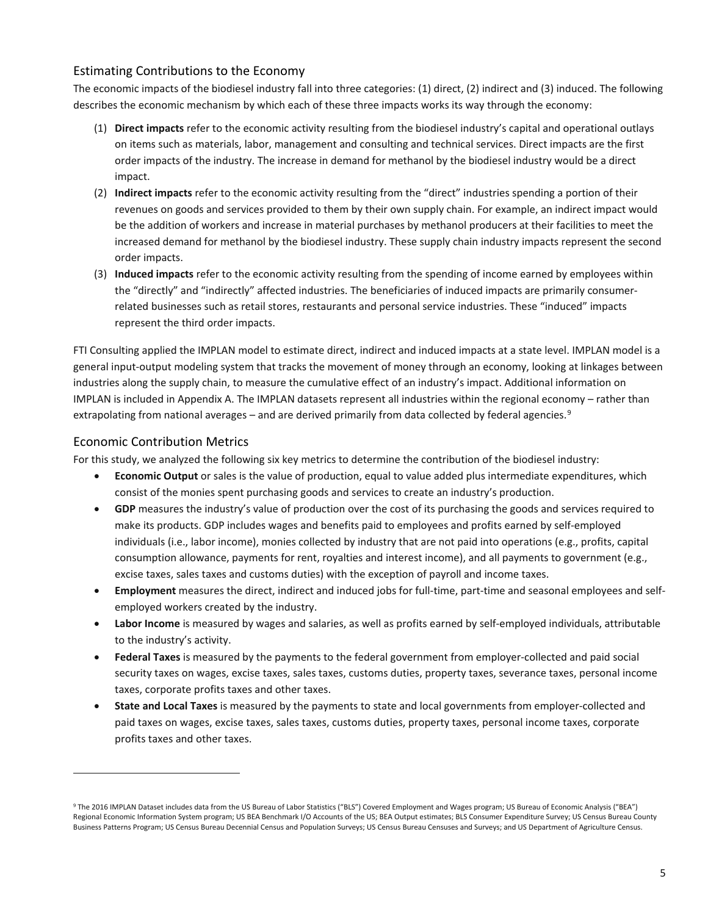## Estimating Contributions to the Economy

The economic impacts of the biodiesel industry fall into three categories: (1) direct, (2) indirect and (3) induced. The following describes the economic mechanism by which each of these three impacts works its way through the economy:

- (1) **Direct impacts** refer to the economic activity resulting from the biodiesel industry's capital and operational outlays on items such as materials, labor, management and consulting and technical services. Direct impacts are the first order impacts of the industry. The increase in demand for methanol by the biodiesel industry would be a direct impact.
- (2) **Indirect impacts** refer to the economic activity resulting from the "direct" industries spending a portion of their revenues on goods and services provided to them by their own supply chain. For example, an indirect impact would be the addition of workers and increase in material purchases by methanol producers at their facilities to meet the increased demand for methanol by the biodiesel industry. These supply chain industry impacts represent the second order impacts.
- (3) **Induced impacts** refer to the economic activity resulting from the spending of income earned by employees within the "directly" and "indirectly" affected industries. The beneficiaries of induced impacts are primarily consumerrelated businesses such as retail stores, restaurants and personal service industries. These "induced" impacts represent the third order impacts.

FTI Consulting applied the IMPLAN model to estimate direct, indirect and induced impacts at a state level. IMPLAN model is a general input-output modeling system that tracks the movement of money through an economy, looking at linkages between industries along the supply chain, to measure the cumulative effect of an industry's impact. Additional information on IMPLAN is included in Appendix A. The IMPLAN datasets represent all industries within the regional economy – rather than extrapolating from national averages – and are derived primarily from data collected by federal agencies.<sup>[9](#page-7-0)</sup>

### Economic Contribution Metrics

<u>.</u>

For this study, we analyzed the following six key metrics to determine the contribution of the biodiesel industry:

- **Economic Output** or sales is the value of production, equal to value added plus intermediate expenditures, which consist of the monies spent purchasing goods and services to create an industry's production.
- **GDP** measures the industry's value of production over the cost of its purchasing the goods and services required to make its products. GDP includes wages and benefits paid to employees and profits earned by self-employed individuals (i.e., labor income), monies collected by industry that are not paid into operations (e.g., profits, capital consumption allowance, payments for rent, royalties and interest income), and all payments to government (e.g., excise taxes, sales taxes and customs duties) with the exception of payroll and income taxes.
- **Employment** measures the direct, indirect and induced jobs for full-time, part-time and seasonal employees and selfemployed workers created by the industry.
- **Labor Income** is measured by wages and salaries, as well as profits earned by self-employed individuals, attributable to the industry's activity.
- **Federal Taxes** is measured by the payments to the federal government from employer-collected and paid social security taxes on wages, excise taxes, sales taxes, customs duties, property taxes, severance taxes, personal income taxes, corporate profits taxes and other taxes.
- **State and Local Taxes** is measured by the payments to state and local governments from employer-collected and paid taxes on wages, excise taxes, sales taxes, customs duties, property taxes, personal income taxes, corporate profits taxes and other taxes.

<span id="page-7-0"></span><sup>9</sup> The 2016 IMPLAN Dataset includes data from the US Bureau of Labor Statistics ("BLS") Covered Employment and Wages program; US Bureau of Economic Analysis ("BEA") Regional Economic Information System program; US BEA Benchmark I/O Accounts of the US; BEA Output estimates; BLS Consumer Expenditure Survey; US Census Bureau County Business Patterns Program; US Census Bureau Decennial Census and Population Surveys; US Census Bureau Censuses and Surveys; and US Department of Agriculture Census.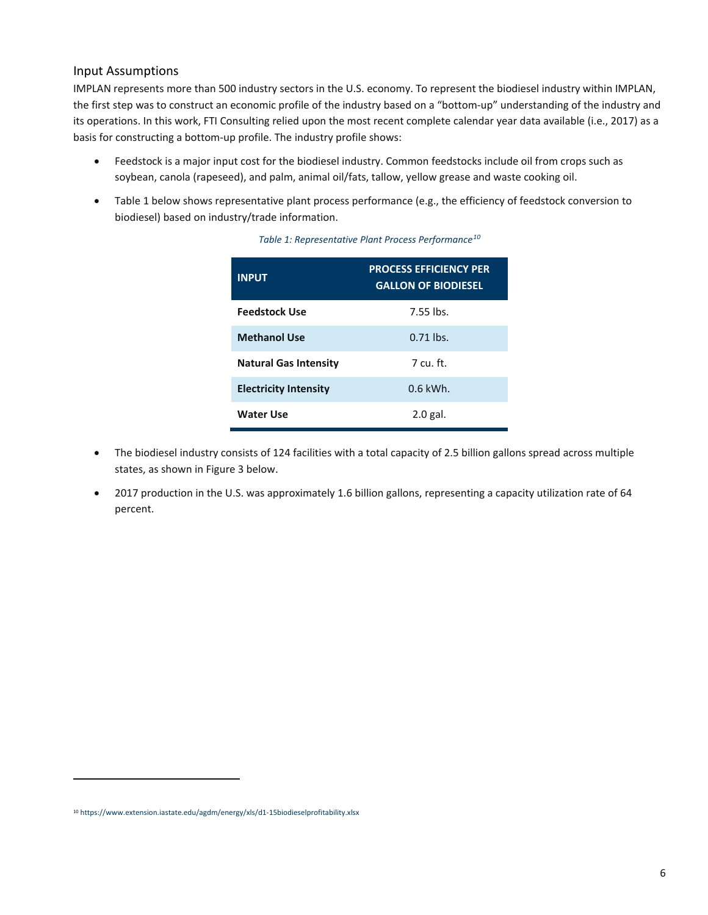### Input Assumptions

IMPLAN represents more than 500 industry sectors in the U.S. economy. To represent the biodiesel industry within IMPLAN, the first step was to construct an economic profile of the industry based on a "bottom-up" understanding of the industry and its operations. In this work, FTI Consulting relied upon the most recent complete calendar year data available (i.e., 2017) as a basis for constructing a bottom-up profile. The industry profile shows:

- Feedstock is a major input cost for the biodiesel industry. Common feedstocks include oil from crops such as soybean, canola (rapeseed), and palm, animal oil/fats, tallow, yellow grease and waste cooking oil.
- <span id="page-8-0"></span>• [Table 1](#page-8-0) below shows representative plant process performance (e.g., the efficiency of feedstock conversion to biodiesel) based on industry/trade information.

| <b>INPUT</b>                 | <b>PROCESS EFFICIENCY PER</b><br><b>GALLON OF BIODIESEL</b> |
|------------------------------|-------------------------------------------------------------|
| <b>Feedstock Use</b>         | 7.55 lbs.                                                   |
| <b>Methanol Use</b>          | $0.71$ lbs.                                                 |
| <b>Natural Gas Intensity</b> | 7 cu ft                                                     |
| <b>Electricity Intensity</b> | $0.6$ kWh.                                                  |
| Water Use                    | $2.0$ gal.                                                  |

#### *Table 1: Representative Plant Process Performance[10](#page-8-1)*

- The biodiesel industry consists of 124 facilities with a total capacity of 2.5 billion gallons spread across multiple states, as shown i[n Figure 3](#page-9-0) below.
- 2017 production in the U.S. was approximately 1.6 billion gallons, representing a capacity utilization rate of 64 percent.

<span id="page-8-1"></span><sup>10</sup> <https://www.extension.iastate.edu/agdm/energy/xls/d1-15biodieselprofitability.xlsx>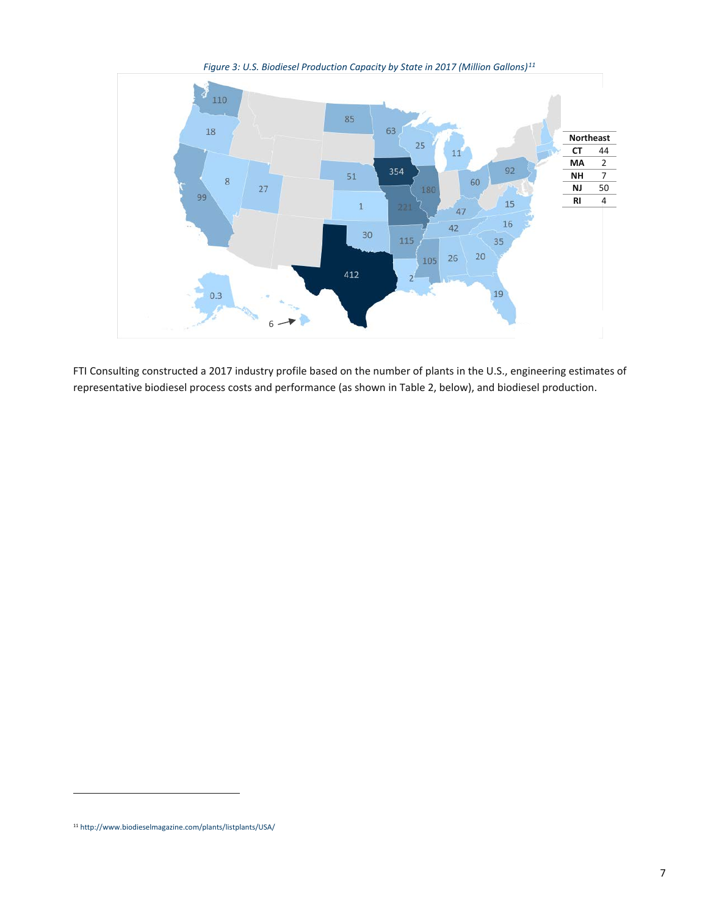<span id="page-9-0"></span>

*Figure 3: U.S. Biodiesel Production Capacity by State in 2017 (Million Gallons)[11](#page-9-1)*

FTI Consulting constructed a 2017 industry profile based on the number of plants in the U.S., engineering estimates of representative biodiesel process costs and performance (as shown i[n Table 2,](#page-10-0) below), and biodiesel production.

.<br>.

<span id="page-9-1"></span><sup>11</sup> <http://www.biodieselmagazine.com/plants/listplants/USA/>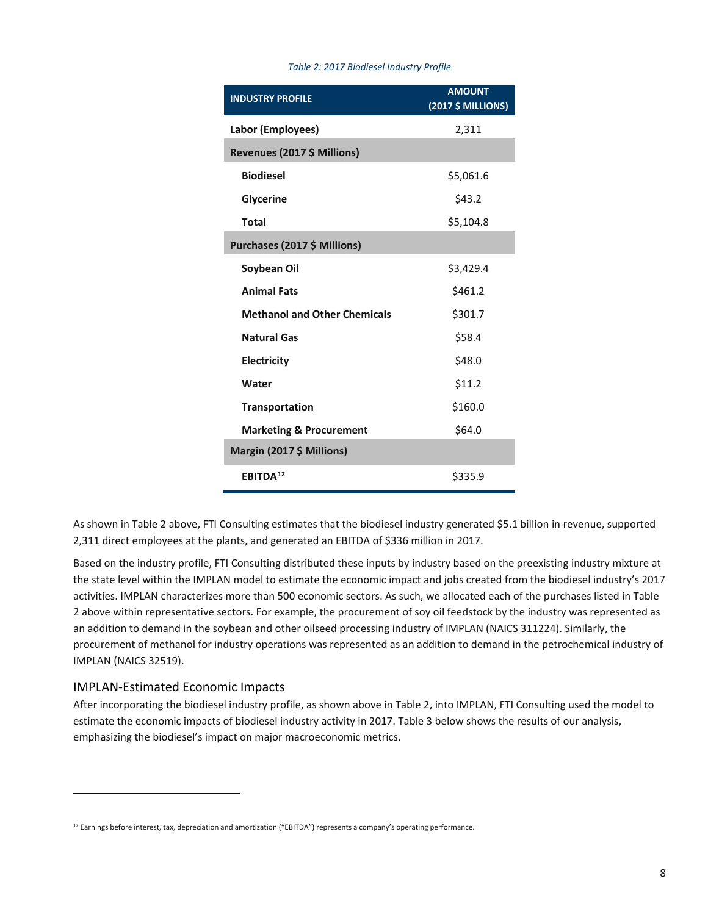<span id="page-10-0"></span>

| <b>INDUSTRY PROFILE</b>             | <b>AMOUNT</b><br>(2017 \$ MILLIONS) |
|-------------------------------------|-------------------------------------|
| Labor (Employees)                   | 2,311                               |
| Revenues (2017 \$ Millions)         |                                     |
| <b>Biodiesel</b>                    | \$5,061.6                           |
| <b>Glycerine</b>                    | \$43.2                              |
| <b>Total</b>                        | \$5,104.8                           |
| Purchases (2017 \$ Millions)        |                                     |
| Soybean Oil                         | \$3,429.4                           |
| <b>Animal Fats</b>                  | \$461.2                             |
| <b>Methanol and Other Chemicals</b> | \$301.7                             |
| <b>Natural Gas</b>                  | \$58.4                              |
| <b>Electricity</b>                  | \$48.0                              |
| Water                               | \$11.2                              |
| <b>Transportation</b>               | \$160.0                             |
| <b>Marketing &amp; Procurement</b>  | \$64.0                              |
| Margin (2017 \$ Millions)           |                                     |
| <b>EBITDA12</b>                     | \$335.9                             |

#### *Table 2: 2017 Biodiesel Industry Profile*

As shown i[n Table 2](#page-10-0) above, FTI Consulting estimates that the biodiesel industry generated \$5.1 billion in revenue, supported 2,311 direct employees at the plants, and generated an EBITDA of \$336 million in 2017.

Based on the industry profile, FTI Consulting distributed these inputs by industry based on the preexisting industry mixture at the state level within the IMPLAN model to estimate the economic impact and jobs created from the biodiesel industry's 2017 activities. IMPLAN characterizes more than 500 economic sectors. As such, we allocated each of the purchases listed in [Table](#page-10-0)  [2](#page-10-0) above within representative sectors. For example, the procurement of soy oil feedstock by the industry was represented as an addition to demand in the soybean and other oilseed processing industry of IMPLAN (NAICS 311224). Similarly, the procurement of methanol for industry operations was represented as an addition to demand in the petrochemical industry of IMPLAN (NAICS 32519).

## IMPLAN-Estimated Economic Impacts

.<br>.

After incorporating the biodiesel industry profile, as shown above in [Table 2,](#page-10-0) into IMPLAN, FTI Consulting used the model to estimate the economic impacts of biodiesel industry activity in 2017[. Table 3](#page-11-0) below shows the results of our analysis, emphasizing the biodiesel's impact on major macroeconomic metrics.

<span id="page-10-1"></span><sup>12</sup> Earnings before interest, tax, depreciation and amortization ("EBITDA") represents a company's operating performance.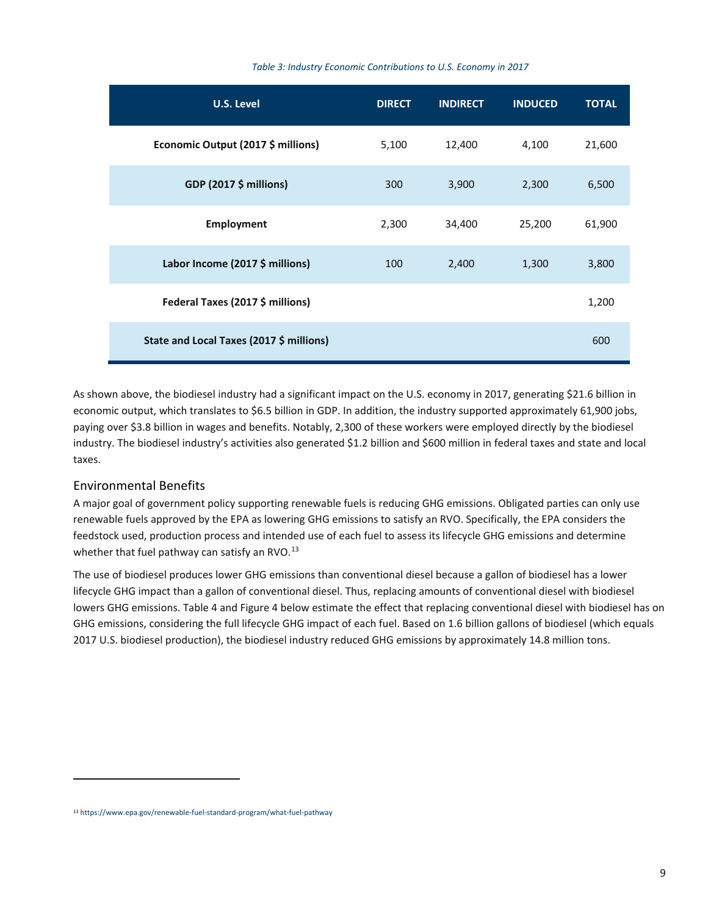#### *Table 3: Industry Economic Contributions to U.S. Economy in 2017*

<span id="page-11-0"></span>

| U.S. Level                               | <b>DIRECT</b> | <b>INDIRECT</b> | <b>INDUCED</b> | <b>TOTAL</b> |
|------------------------------------------|---------------|-----------------|----------------|--------------|
| Economic Output (2017 \$ millions)       | 5,100         | 12,400          | 4,100          | 21,600       |
| <b>GDP (2017 \$ millions)</b>            | 300           | 3,900           | 2,300          | 6,500        |
| <b>Employment</b>                        | 2,300         | 34,400          | 25,200         | 61,900       |
| Labor Income (2017 \$ millions)          | 100           | 2,400           | 1,300          | 3,800        |
| Federal Taxes (2017 \$ millions)         |               |                 |                | 1,200        |
| State and Local Taxes (2017 \$ millions) |               |                 |                | 600          |

As shown above, the biodiesel industry had a significant impact on the U.S. economy in 2017, generating \$21.6 billion in economic output, which translates to \$6.5 billion in GDP. In addition, the industry supported approximately 61,900 jobs, paying over \$3.8 billion in wages and benefits. Notably, 2,300 of these workers were employed directly by the biodiesel industry. The biodiesel industry's activities also generated \$1.2 billion and \$600 million in federal taxes and state and local taxes.

### Environmental Benefits

<u>.</u>

A major goal of government policy supporting renewable fuels is reducing GHG emissions. Obligated parties can only use renewable fuels approved by the EPA as lowering GHG emissions to satisfy an RVO. Specifically, the EPA considers the feedstock used, production process and intended use of each fuel to assess its lifecycle GHG emissions and determine whether that fuel pathway can satisfy an RVO. $^{13}$ 

The use of biodiesel produces lower GHG emissions than conventional diesel because a gallon of biodiesel has a lower lifecycle GHG impact than a gallon of conventional diesel. Thus, replacing amounts of conventional diesel with biodiesel lowers GHG emissions[. Table 4](#page-12-0) and [Figure 4](#page-12-1) below estimate the effect that replacing conventional diesel with biodiesel has on GHG emissions, considering the full lifecycle GHG impact of each fuel. Based on 1.6 billion gallons of biodiesel (which equals 2017 U.S. biodiesel production), the biodiesel industry reduced GHG emissions by approximately 14.8 million tons.

<span id="page-11-1"></span><sup>13</sup> <https://www.epa.gov/renewable-fuel-standard-program/what-fuel-pathway>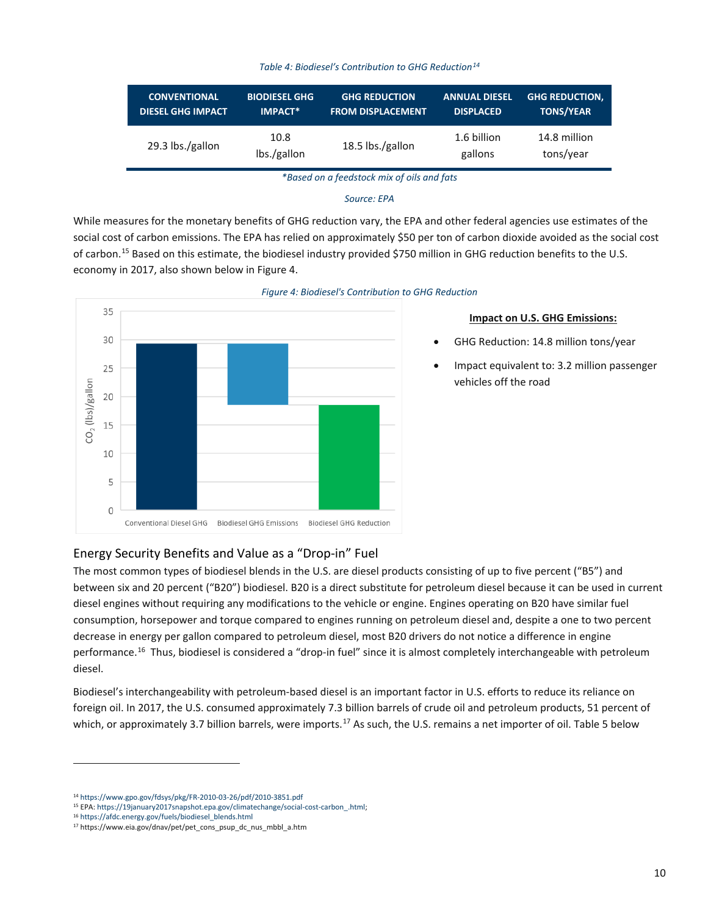#### *Table 4: Biodiesel's Contribution to GHG Reduction[14](#page-12-2)*

<span id="page-12-0"></span>

| <b>CONVENTIONAL</b>      | <b>BIODIESEL GHG</b> | <b>GHG REDUCTION</b>     | <b>ANNUAL DIESEL</b>   | <b>GHG REDUCTION,</b>     |
|--------------------------|----------------------|--------------------------|------------------------|---------------------------|
| <b>DIESEL GHG IMPACT</b> | <b>IMPACT*</b>       | <b>FROM DISPLACEMENT</b> | <b>DISPLACED</b>       | <b>TONS/YEAR</b>          |
| 29.3 lbs./gallon         | 10.8<br>lbs./gallon  | 18.5 lbs./gallon         | 1.6 billion<br>gallons | 14.8 million<br>tons/year |

*\*Based on a feedstock mix of oils and fats*

#### *Source: EPA*

While measures for the monetary benefits of GHG reduction vary, the EPA and other federal agencies use estimates of the social cost of carbon emissions. The EPA has relied on approximately \$50 per ton of carbon dioxide avoided as the social cost of carbon.<sup>[15](#page-12-3)</sup> Based on this estimate, the biodiesel industry provided \$750 million in GHG reduction benefits to the U.S. economy in 2017, also shown below i[n Figure 4.](#page-12-1)

<span id="page-12-1"></span>



#### **Impact on U.S. GHG Emissions:**

- GHG Reduction: 14.8 million tons/year
- Impact equivalent to: 3.2 million passenger vehicles off the road

## Energy Security Benefits and Value as a "Drop-in" Fuel

The most common types of biodiesel blends in the U.S. are diesel products consisting of up to five percent ("B5") and between six and 20 percent ("B20") biodiesel. B20 is a direct substitute for petroleum diesel because it can be used in current diesel engines without requiring any modifications to the vehicle or engine. Engines operating on B20 have similar fuel consumption, horsepower and torque compared to engines running on petroleum diesel and, despite a one to two percent decrease in energy per gallon compared to petroleum diesel, most B20 drivers do not notice a difference in engine performance.<sup>16</sup> Thus, biodiesel is considered a "drop-in fuel" since it is almost completely interchangeable with petroleum diesel.

Biodiesel's interchangeability with petroleum-based diesel is an important factor in U.S. efforts to reduce its reliance on foreign oil. In 2017, the U.S. consumed approximately 7.3 billion barrels of crude oil and petroleum products, 51 percent of which, or approximately 3.7 billion barrels, were imports.<sup>[17](#page-12-5)</sup> As such, the U.S. remains a net importer of oil[. Table 5](#page-13-0) below

<sup>14</sup> <https://www.gpo.gov/fdsys/pkg/FR-2010-03-26/pdf/2010-3851.pdf>

<span id="page-12-4"></span><span id="page-12-3"></span><span id="page-12-2"></span><sup>&</sup>lt;sup>15</sup> EPA: https://19january2017snapshot.epa.gov/climatechange/social-cost-carbon\_.html;<br><sup>16</sup> [https://afdc.energy.gov/fuels/biodiesel\\_blends.html](https://afdc.energy.gov/fuels/biodiesel_blends.html)

<span id="page-12-5"></span><sup>17</sup> https://www.eia.gov/dnav/pet/pet\_cons\_psup\_dc\_nus\_mbbl\_a.htm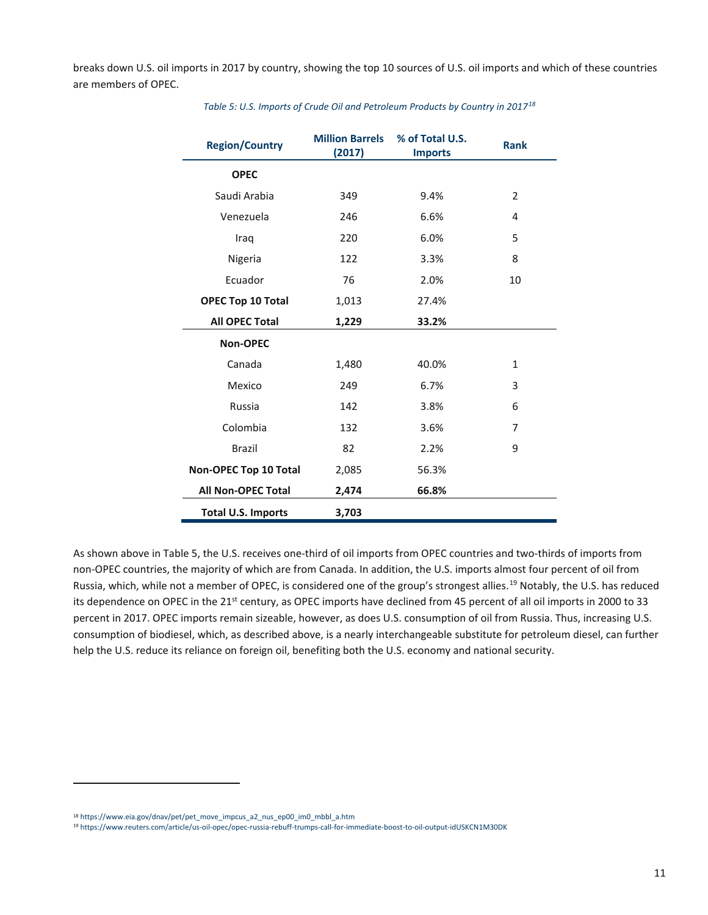<span id="page-13-0"></span>breaks down U.S. oil imports in 2017 by country, showing the top 10 sources of U.S. oil imports and which of these countries are members of OPEC.

| <b>Region/Country</b>     | <b>Million Barrels</b><br>(2017) | % of Total U.S.<br><b>Imports</b> | <b>Rank</b>    |
|---------------------------|----------------------------------|-----------------------------------|----------------|
| <b>OPEC</b>               |                                  |                                   |                |
| Saudi Arabia              | 349                              | 9.4%                              | $\overline{2}$ |
| Venezuela                 | 246                              | 6.6%                              | 4              |
| Iraq                      | 220                              | 6.0%                              | 5              |
| Nigeria                   | 122                              | 3.3%                              | 8              |
| Ecuador                   | 76                               | 2.0%                              | 10             |
| <b>OPEC Top 10 Total</b>  | 1,013                            | 27.4%                             |                |
| <b>All OPEC Total</b>     | 1,229                            | 33.2%                             |                |
| <b>Non-OPEC</b>           |                                  |                                   |                |
| Canada                    | 1,480                            | 40.0%                             | $\mathbf{1}$   |
| Mexico                    | 249                              | 6.7%                              | 3              |
| Russia                    | 142                              | 3.8%                              | 6              |
| Colombia                  | 132                              | 3.6%                              | 7              |
| <b>Brazil</b>             | 82                               | 2.2%                              | 9              |
| Non-OPEC Top 10 Total     | 2,085                            | 56.3%                             |                |
| All Non-OPEC Total        | 2,474                            | 66.8%                             |                |
| <b>Total U.S. Imports</b> | 3,703                            |                                   |                |

*Table 5: U.S. Imports of Crude Oil and Petroleum Products by Country in 2017[18](#page-13-1)*

As shown above i[n Table 5,](#page-13-0) the U.S. receives one-third of oil imports from OPEC countries and two-thirds of imports from non-OPEC countries, the majority of which are from Canada. In addition, the U.S. imports almost four percent of oil from Russia, which, while not a member of OPEC, is considered one of the group's strongest allies.<sup>[19](#page-13-2)</sup> Notably, the U.S. has reduced its dependence on OPEC in the 21<sup>st</sup> century, as OPEC imports have declined from 45 percent of all oil imports in 2000 to 33 percent in 2017. OPEC imports remain sizeable, however, as does U.S. consumption of oil from Russia. Thus, increasing U.S. consumption of biodiesel, which, as described above, is a nearly interchangeable substitute for petroleum diesel, can further help the U.S. reduce its reliance on foreign oil, benefiting both the U.S. economy and national security.

<span id="page-13-1"></span><sup>18</sup> [https://www.eia.gov/dnav/pet/pet\\_move\\_impcus\\_a2\\_nus\\_ep00\\_im0\\_mbbl\\_a.htm](https://www.eia.gov/dnav/pet/pet_move_impcus_a2_nus_ep00_im0_mbbl_a.htm)

<span id="page-13-2"></span><sup>19</sup> <https://www.reuters.com/article/us-oil-opec/opec-russia-rebuff-trumps-call-for-immediate-boost-to-oil-output-idUSKCN1M30DK>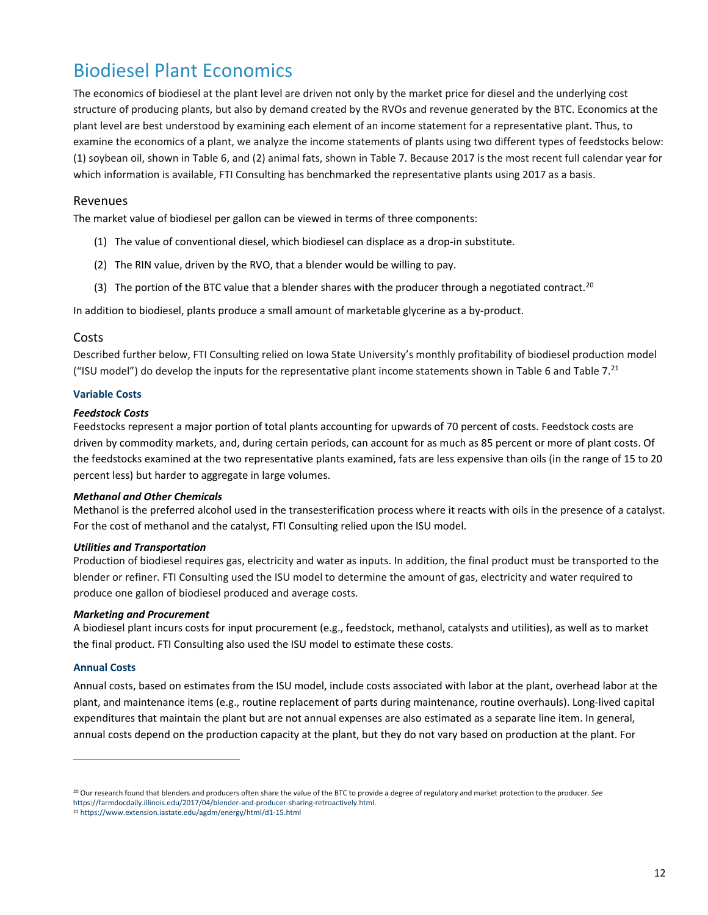## Biodiesel Plant Economics

The economics of biodiesel at the plant level are driven not only by the market price for diesel and the underlying cost structure of producing plants, but also by demand created by the RVOs and revenue generated by the BTC. Economics at the plant level are best understood by examining each element of an income statement for a representative plant. Thus, to examine the economics of a plant, we analyze the income statements of plants using two different types of feedstocks below: (1) soybean oil, shown i[n Table 6,](#page-15-0) and (2) animal fats, shown in [Table 7.](#page-16-0) Because 2017 is the most recent full calendar year for which information is available, FTI Consulting has benchmarked the representative plants using 2017 as a basis.

### Revenues

The market value of biodiesel per gallon can be viewed in terms of three components:

- (1) The value of conventional diesel, which biodiesel can displace as a drop-in substitute.
- (2) The RIN value, driven by the RVO, that a blender would be willing to pay.
- (3) The portion of the BTC value that a blender shares with the producer through a negotiated contract.<sup>[20](#page-14-0)</sup>

In addition to biodiesel, plants produce a small amount of marketable glycerine as a by-product.

### Costs

Described further below, FTI Consulting relied on Iowa State University's monthly profitability of biodiesel production model ("ISU model") do develop the inputs for the representative plant income statements shown in [Table 6](#page-15-0) an[d Table 7.](#page-16-0) $^{21}$  $^{21}$  $^{21}$ 

#### **Variable Costs**

#### *Feedstock Costs*

Feedstocks represent a major portion of total plants accounting for upwards of 70 percent of costs. Feedstock costs are driven by commodity markets, and, during certain periods, can account for as much as 85 percent or more of plant costs. Of the feedstocks examined at the two representative plants examined, fats are less expensive than oils (in the range of 15 to 20 percent less) but harder to aggregate in large volumes.

#### *Methanol and Other Chemicals*

Methanol is the preferred alcohol used in the transesterification process where it reacts with oils in the presence of a catalyst. For the cost of methanol and the catalyst, FTI Consulting relied upon the ISU model.

#### *Utilities and Transportation*

Production of biodiesel requires gas, electricity and water as inputs. In addition, the final product must be transported to the blender or refiner. FTI Consulting used the ISU model to determine the amount of gas, electricity and water required to produce one gallon of biodiesel produced and average costs.

#### *Marketing and Procurement*

A biodiesel plant incurs costs for input procurement (e.g., feedstock, methanol, catalysts and utilities), as well as to market the final product. FTI Consulting also used the ISU model to estimate these costs.

#### **Annual Costs**

1

Annual costs, based on estimates from the ISU model, include costs associated with labor at the plant, overhead labor at the plant, and maintenance items (e.g., routine replacement of parts during maintenance, routine overhauls). Long-lived capital expenditures that maintain the plant but are not annual expenses are also estimated as a separate line item. In general, annual costs depend on the production capacity at the plant, but they do not vary based on production at the plant. For

<span id="page-14-0"></span><sup>20</sup> Our research found that blenders and producers often share the value of the BTC to provide a degree of regulatory and market protection to the producer. *See* https://farmdocdaily.illinois.edu/2017/04/blender-and-producer-sharing-retroactively.html.<br><sup>21</sup> <https://www.extension.iastate.edu/agdm/energy/html/d1-15.html>

<span id="page-14-1"></span>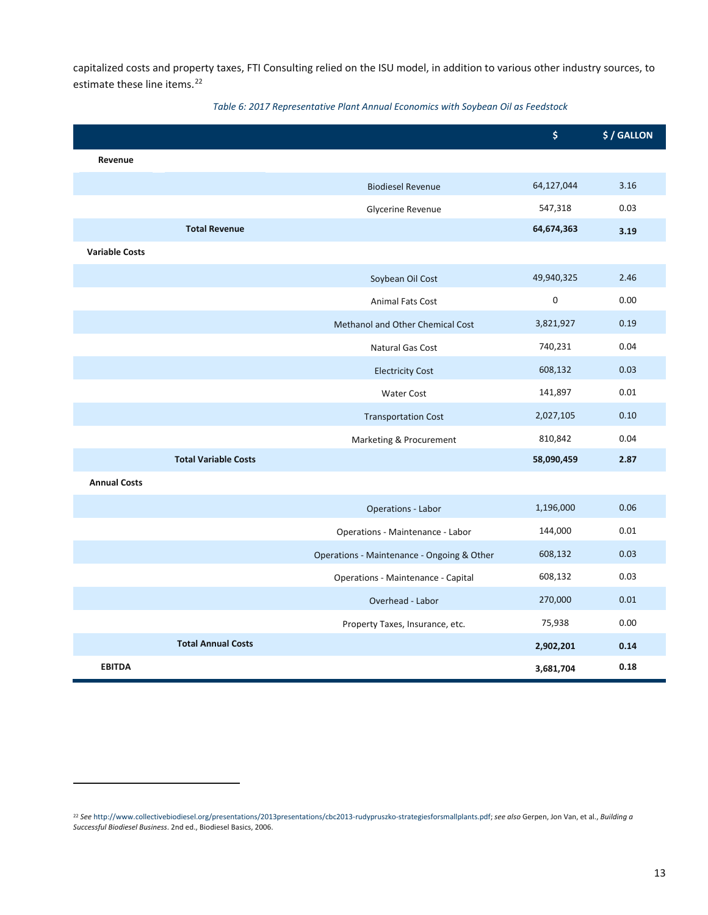capitalized costs and property taxes, FTI Consulting relied on the ISU model, in addition to various other industry sources, to estimate these line items.<sup>[22](#page-15-1)</sup>

<span id="page-15-0"></span>

|                       |                             |                                            | \$          | \$/GALLON |
|-----------------------|-----------------------------|--------------------------------------------|-------------|-----------|
| Revenue               |                             |                                            |             |           |
|                       |                             | <b>Biodiesel Revenue</b>                   | 64,127,044  | 3.16      |
|                       |                             | Glycerine Revenue                          | 547,318     | 0.03      |
|                       | <b>Total Revenue</b>        |                                            | 64,674,363  | 3.19      |
| <b>Variable Costs</b> |                             |                                            |             |           |
|                       |                             | Soybean Oil Cost                           | 49,940,325  | 2.46      |
|                       |                             | Animal Fats Cost                           | $\mathbf 0$ | 0.00      |
|                       |                             | Methanol and Other Chemical Cost           | 3,821,927   | 0.19      |
|                       |                             | Natural Gas Cost                           | 740,231     | 0.04      |
|                       |                             | <b>Electricity Cost</b>                    | 608,132     | 0.03      |
|                       |                             | <b>Water Cost</b>                          | 141,897     | 0.01      |
|                       |                             | <b>Transportation Cost</b>                 | 2,027,105   | 0.10      |
|                       |                             | Marketing & Procurement                    | 810,842     | 0.04      |
|                       | <b>Total Variable Costs</b> |                                            | 58,090,459  | 2.87      |
| <b>Annual Costs</b>   |                             |                                            |             |           |
|                       |                             | Operations - Labor                         | 1,196,000   | 0.06      |
|                       |                             | Operations - Maintenance - Labor           | 144,000     | 0.01      |
|                       |                             | Operations - Maintenance - Ongoing & Other | 608,132     | 0.03      |
|                       |                             | Operations - Maintenance - Capital         | 608,132     | 0.03      |
|                       |                             | Overhead - Labor                           | 270,000     | 0.01      |
|                       |                             | Property Taxes, Insurance, etc.            | 75,938      | 0.00      |
|                       | <b>Total Annual Costs</b>   |                                            | 2,902,201   | 0.14      |
| <b>EBITDA</b>         |                             |                                            | 3,681,704   | 0.18      |

#### *Table 6: 2017 Representative Plant Annual Economics with Soybean Oil as Feedstock*

**.** 

<span id="page-15-1"></span><sup>22</sup> *See* [http://www.collectivebiodiesel.org/presentations/2013presentations/cbc2013-rudypruszko-strategiesforsmallplants.pdf;](http://www.collectivebiodiesel.org/presentations/2013presentations/cbc2013-rudypruszko-strategiesforsmallplants.pdf) *see also* Gerpen, Jon Van, et al., *Building a Successful Biodiesel Business*. 2nd ed., Biodiesel Basics, 2006.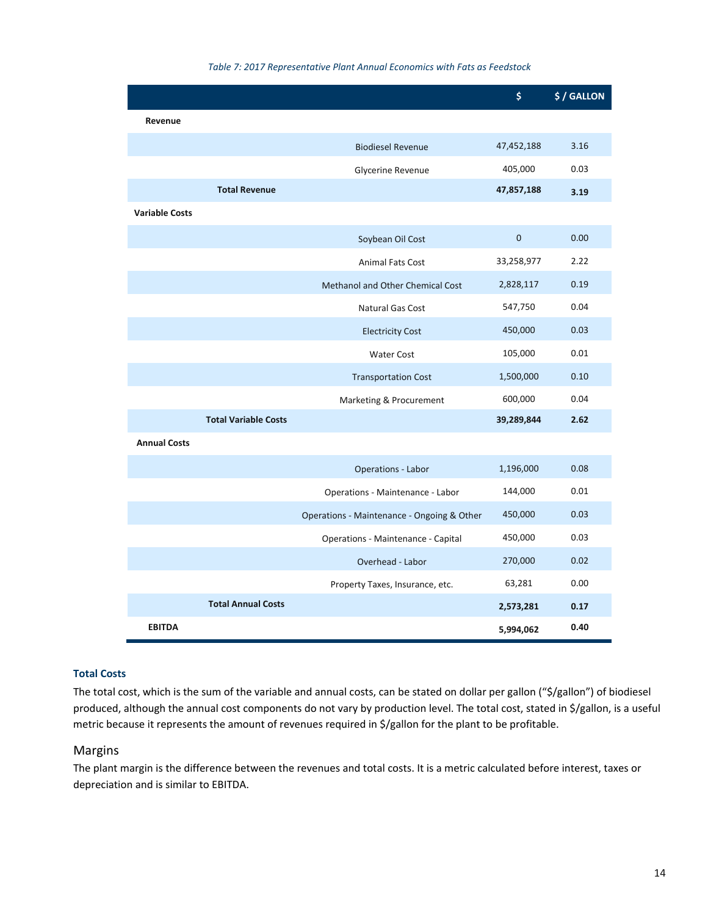<span id="page-16-0"></span>

|                       |                             |                                            | \$           | \$/GALLON |
|-----------------------|-----------------------------|--------------------------------------------|--------------|-----------|
| Revenue               |                             |                                            |              |           |
|                       |                             | <b>Biodiesel Revenue</b>                   | 47,452,188   | 3.16      |
|                       |                             | Glycerine Revenue                          | 405,000      | 0.03      |
|                       | <b>Total Revenue</b>        |                                            | 47,857,188   | 3.19      |
| <b>Variable Costs</b> |                             |                                            |              |           |
|                       |                             | Soybean Oil Cost                           | $\mathbf{0}$ | 0.00      |
|                       |                             | <b>Animal Fats Cost</b>                    | 33,258,977   | 2.22      |
|                       |                             | Methanol and Other Chemical Cost           | 2,828,117    | 0.19      |
|                       |                             | <b>Natural Gas Cost</b>                    | 547,750      | 0.04      |
|                       |                             | <b>Electricity Cost</b>                    | 450,000      | 0.03      |
|                       |                             | <b>Water Cost</b>                          | 105,000      | 0.01      |
|                       |                             | <b>Transportation Cost</b>                 | 1,500,000    | 0.10      |
|                       |                             | Marketing & Procurement                    | 600,000      | 0.04      |
|                       | <b>Total Variable Costs</b> |                                            | 39,289,844   | 2.62      |
| <b>Annual Costs</b>   |                             |                                            |              |           |
|                       |                             | <b>Operations - Labor</b>                  | 1,196,000    | 0.08      |
|                       |                             | Operations - Maintenance - Labor           | 144,000      | 0.01      |
|                       |                             | Operations - Maintenance - Ongoing & Other | 450,000      | 0.03      |
|                       |                             | Operations - Maintenance - Capital         | 450,000      | 0.03      |
|                       |                             | Overhead - Labor                           | 270,000      | 0.02      |
|                       |                             | Property Taxes, Insurance, etc.            | 63,281       | 0.00      |
|                       | <b>Total Annual Costs</b>   |                                            | 2,573,281    | 0.17      |
| <b>EBITDA</b>         |                             |                                            | 5,994,062    | 0.40      |

#### *Table 7: 2017 Representative Plant Annual Economics with Fats as Feedstock*

#### **Total Costs**

The total cost, which is the sum of the variable and annual costs, can be stated on dollar per gallon ("\$/gallon") of biodiesel produced, although the annual cost components do not vary by production level. The total cost, stated in \$/gallon, is a useful metric because it represents the amount of revenues required in \$/gallon for the plant to be profitable.

### Margins

The plant margin is the difference between the revenues and total costs. It is a metric calculated before interest, taxes or depreciation and is similar to EBITDA.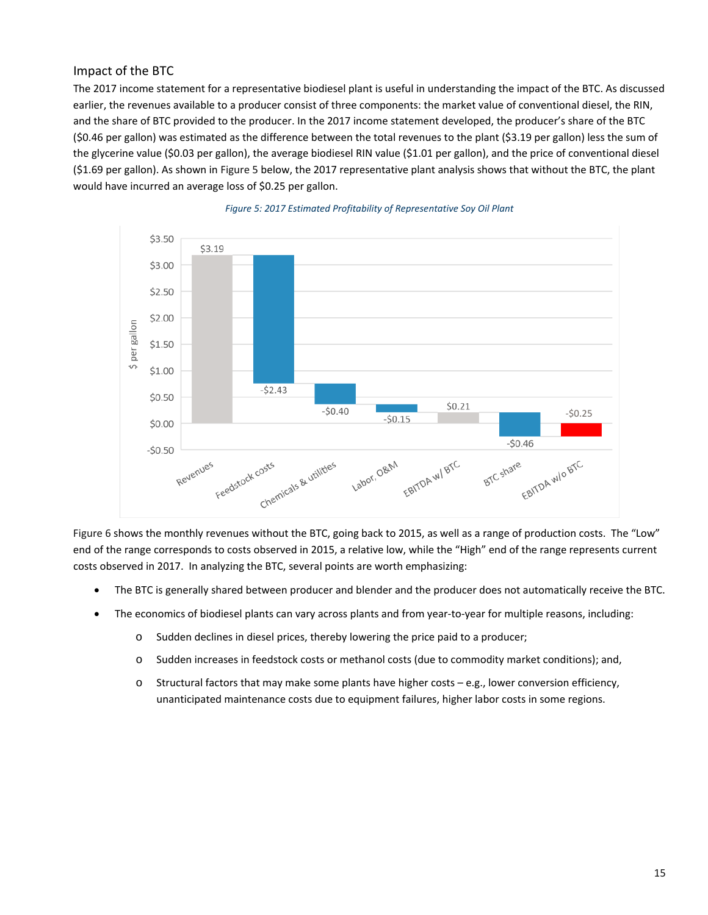## Impact of the BTC

The 2017 income statement for a representative biodiesel plant is useful in understanding the impact of the BTC. As discussed earlier, the revenues available to a producer consist of three components: the market value of conventional diesel, the RIN, and the share of BTC provided to the producer. In the 2017 income statement developed, the producer's share of the BTC (\$0.46 per gallon) was estimated as the difference between the total revenues to the plant (\$3.19 per gallon) less the sum of the glycerine value (\$0.03 per gallon), the average biodiesel RIN value (\$1.01 per gallon), and the price of conventional diesel (\$1.69 per gallon). As shown i[n Figure 5](#page-17-0) below, the 2017 representative plant analysis shows that without the BTC, the plant would have incurred an average loss of \$0.25 per gallon.

<span id="page-17-0"></span>



[Figure 6](#page-17-0) shows the monthly revenues without the BTC, going back to 2015, as well as a range of production costs. The "Low" end of the range corresponds to costs observed in 2015, a relative low, while the "High" end of the range represents current costs observed in 2017. In analyzing the BTC, several points are worth emphasizing:

- The BTC is generally shared between producer and blender and the producer does not automatically receive the BTC.
- The economics of biodiesel plants can vary across plants and from year-to-year for multiple reasons, including:
	- o Sudden declines in diesel prices, thereby lowering the price paid to a producer;
	- o Sudden increases in feedstock costs or methanol costs (due to commodity market conditions); and,
	- o Structural factors that may make some plants have higher costs e.g., lower conversion efficiency, unanticipated maintenance costs due to equipment failures, higher labor costs in some regions.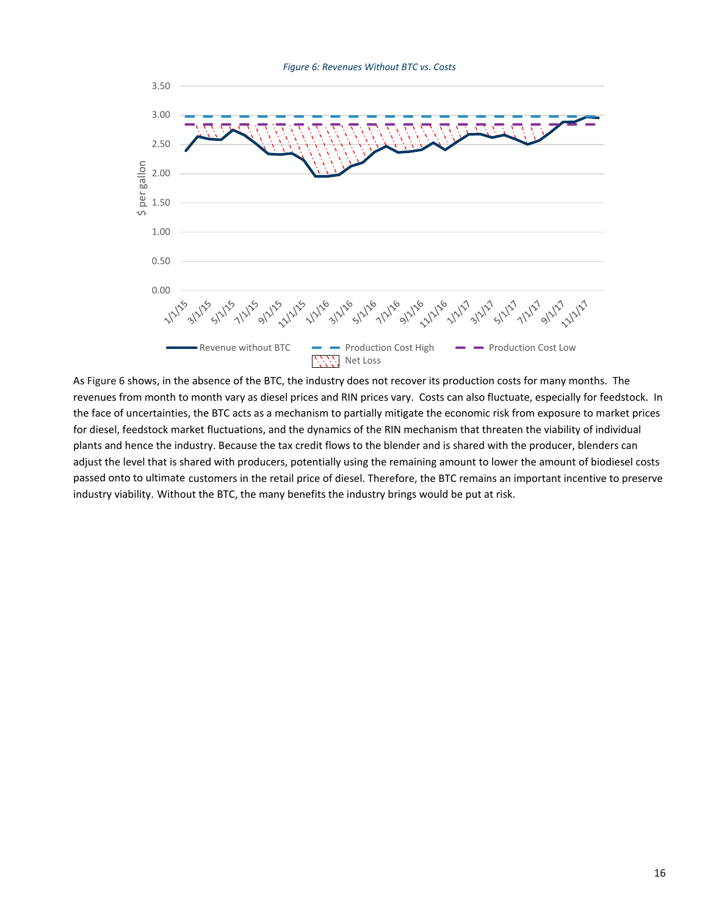<span id="page-18-0"></span>

A[s Figure 6](#page-18-0) shows, in the absence of the BTC, the industry does not recover its production costs for many months. The revenues from month to month vary as diesel prices and RIN prices vary. Costs can also fluctuate, especially for feedstock. In the face of uncertainties, the BTC acts as a mechanism to partially mitigate the economic risk from exposure to market prices for diesel, feedstock market fluctuations, and the dynamics of the RIN mechanism that threaten the viability of individual plants and hence the industry. Because the tax credit flows to the blender and is shared with the producer, blenders can adjust the level that is shared with producers, potentially using the remaining amount to lower the amount of biodiesel costs passed onto to ultimate customers in the retail price of diesel. Therefore, the BTC remains an important incentive to preserve industry viability. Without the BTC, the many benefits the industry brings would be put at risk.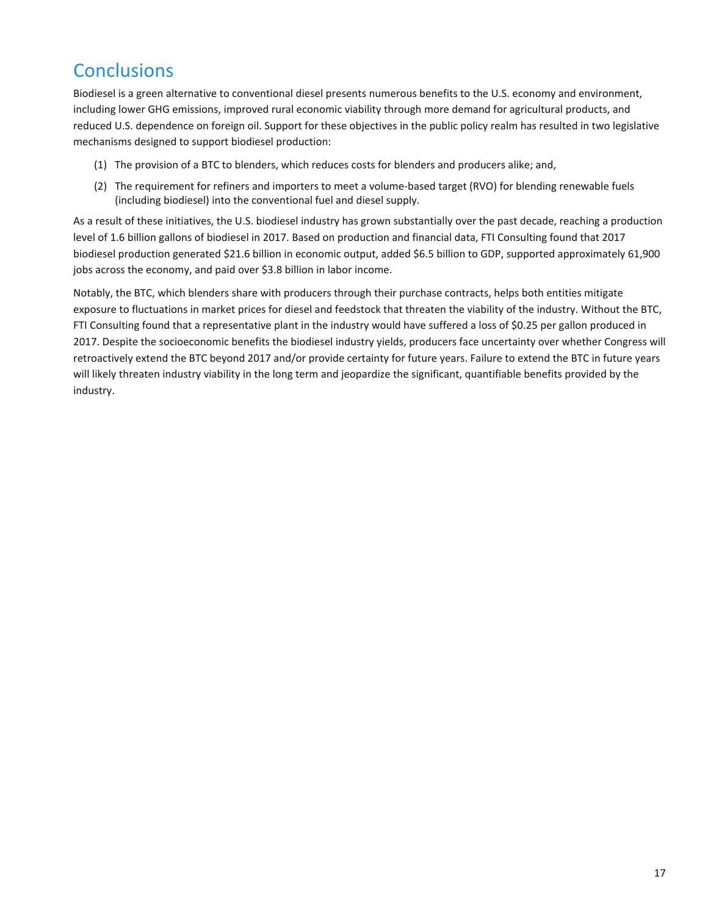## **Conclusions**

Biodiesel is a green alternative to conventional diesel presents numerous benefits to the U.S. economy and environment, including lower GHG emissions, improved rural economic viability through more demand for agricultural products, and reduced U.S. dependence on foreign oil. Support for these objectives in the public policy realm has resulted in two legislative mechanisms designed to support biodiesel production:

- (1) The provision of a BTC to blenders, which reduces costs for blenders and producers alike; and,
- (2) The requirement for refiners and importers to meet a volume-based target (RVO) for blending renewable fuels (including biodiesel) into the conventional fuel and diesel supply.

As a result of these initiatives, the U.S. biodiesel industry has grown substantially over the past decade, reaching a production level of 1.6 billion gallons of biodiesel in 2017. Based on production and financial data, FTI Consulting found that 2017 biodiesel production generated \$21.6 billion in economic output, added \$6.5 billion to GDP, supported approximately 61,900 jobs across the economy, and paid over \$3.8 billion in labor income.

Notably, the BTC, which blenders share with producers through their purchase contracts, helps both entities mitigate exposure to fluctuations in market prices for diesel and feedstock that threaten the viability of the industry. Without the BTC, FTI Consulting found that a representative plant in the industry would have suffered a loss of \$0.25 per gallon produced in 2017. Despite the socioeconomic benefits the biodiesel industry yields, producers face uncertainty over whether Congress will retroactively extend the BTC beyond 2017 and/or provide certainty for future years. Failure to extend the BTC in future years will likely threaten industry viability in the long term and jeopardize the significant, quantifiable benefits provided by the industry.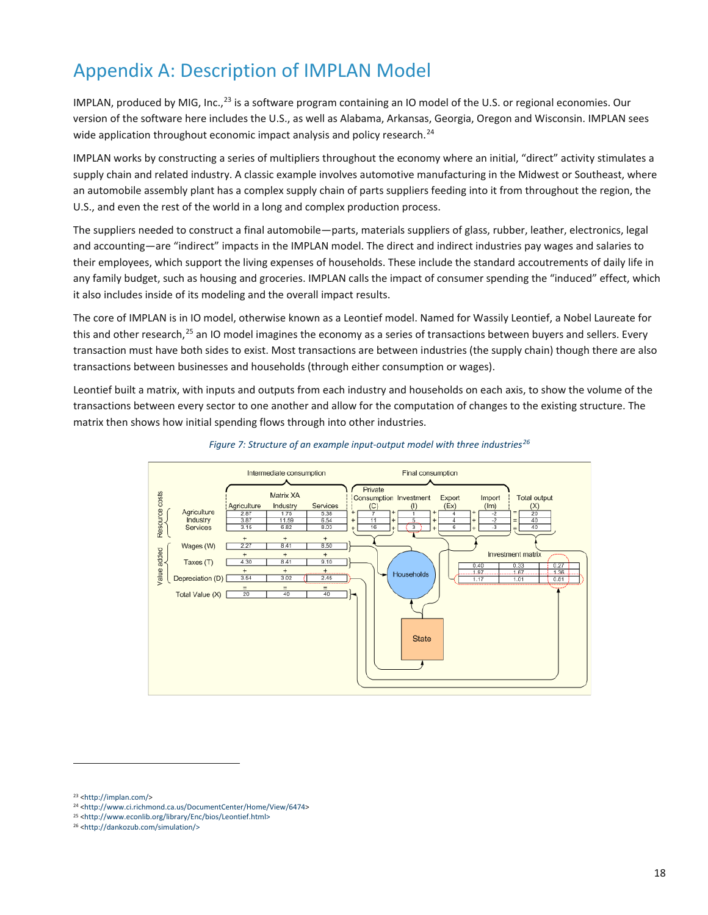## Appendix A: Description of IMPLAN Model

IMPLAN, produced by MIG, Inc.,<sup>[23](#page-20-0)</sup> is a software program containing an IO model of the U.S. or regional economies. Our version of the software here includes the U.S., as well as Alabama, Arkansas, Georgia, Oregon and Wisconsin. IMPLAN sees wide application throughout economic impact analysis and policy research.<sup>[24](#page-20-1)</sup>

IMPLAN works by constructing a series of multipliers throughout the economy where an initial, "direct" activity stimulates a supply chain and related industry. A classic example involves automotive manufacturing in the Midwest or Southeast, where an automobile assembly plant has a complex supply chain of parts suppliers feeding into it from throughout the region, the U.S., and even the rest of the world in a long and complex production process.

The suppliers needed to construct a final automobile—parts, materials suppliers of glass, rubber, leather, electronics, legal and accounting—are "indirect" impacts in the IMPLAN model. The direct and indirect industries pay wages and salaries to their employees, which support the living expenses of households. These include the standard accoutrements of daily life in any family budget, such as housing and groceries. IMPLAN calls the impact of consumer spending the "induced" effect, which it also includes inside of its modeling and the overall impact results.

The core of IMPLAN is in IO model, otherwise known as a Leontief model. Named for Wassily Leontief, a Nobel Laureate for this and other research,<sup>[25](#page-20-2)</sup> an IO model imagines the economy as a series of transactions between buyers and sellers. Every transaction must have both sides to exist. Most transactions are between industries (the supply chain) though there are also transactions between businesses and households (through either consumption or wages).

Leontief built a matrix, with inputs and outputs from each industry and households on each axis, to show the volume of the transactions between every sector to one another and allow for the computation of changes to the existing structure. The matrix then shows how initial spending flows through into other industries.





**.** 

<span id="page-20-1"></span><span id="page-20-0"></span><sup>23</sup> [<http://implan.com/>](http://implan.com/)

<sup>24</sup> [<http://www.ci.richmond.ca.us/DocumentCenter/Home/View/6474>](http://www.ci.richmond.ca.us/DocumentCenter/Home/View/6474)

<span id="page-20-2"></span><sup>25</sup> [<http://www.econlib.org/library/Enc/bios/Leontief.html>](http://www.econlib.org/library/Enc/bios/Leontief.html)

<span id="page-20-3"></span><sup>26</sup> [<http://dankozub.com/simulation/>](http://dankozub.com/simulation/)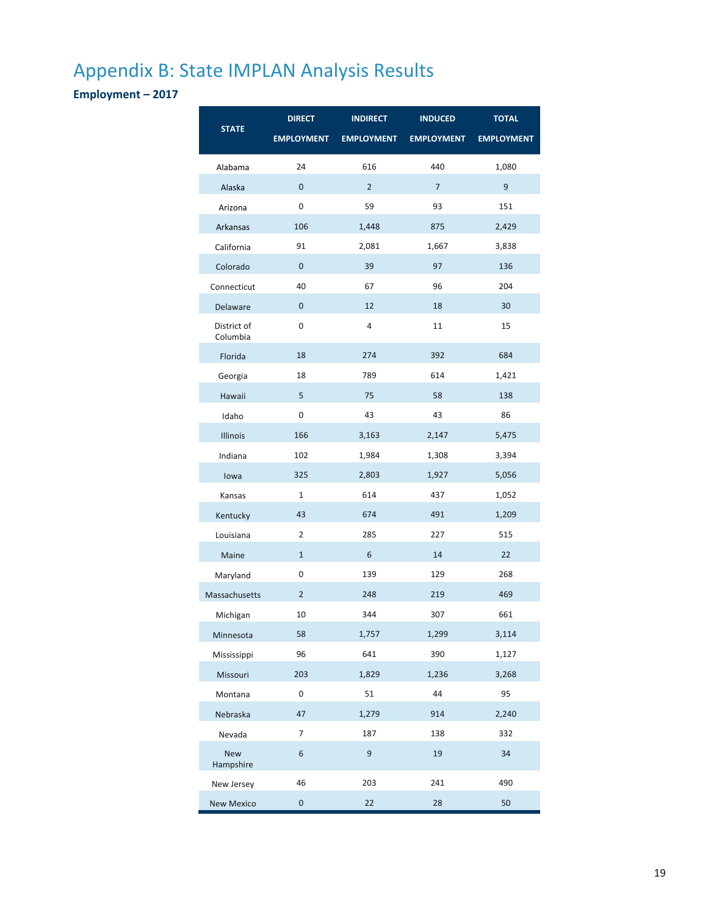## Appendix B: State IMPLAN Analysis Results

**Employment – 2017**

|                         | <b>DIRECT</b>     | <b>INDIRECT</b>   | <b>INDUCED</b>    | <b>TOTAL</b>      |
|-------------------------|-------------------|-------------------|-------------------|-------------------|
| <b>STATE</b>            | <b>EMPLOYMENT</b> | <b>EMPLOYMENT</b> | <b>EMPLOYMENT</b> | <b>EMPLOYMENT</b> |
| Alabama                 | 24                | 616               | 440               | 1,080             |
| Alaska                  | 0                 | $\overline{2}$    | $\overline{7}$    | 9                 |
| Arizona                 | 0                 | 59                | 93                | 151               |
| Arkansas                | 106               | 1,448             | 875               | 2,429             |
| California              | 91                | 2,081             | 1,667             | 3,838             |
| Colorado                | 0                 | 39                | 97                | 136               |
| Connecticut             | 40                | 67                | 96                | 204               |
| Delaware                | 0                 | 12                | 18                | 30                |
| District of<br>Columbia | 0                 | $\overline{4}$    | 11                | 15                |
| Florida                 | 18                | 274               | 392               | 684               |
| Georgia                 | 18                | 789               | 614               | 1,421             |
| Hawaii                  | 5                 | 75                | 58                | 138               |
| Idaho                   | 0                 | 43                | 43                | 86                |
| Illinois                | 166               | 3,163             | 2,147             | 5,475             |
| Indiana                 | 102               | 1,984             | 1,308             | 3,394             |
| lowa                    | 325               | 2,803             | 1,927             | 5,056             |
| Kansas                  | $\mathbf{1}$      | 614               | 437               | 1,052             |
| Kentucky                | 43                | 674               | 491               | 1,209             |
| Louisiana               | $\overline{2}$    | 285               | 227               | 515               |
| Maine                   | $\mathbf{1}$      | 6                 | 14                | 22                |
| Maryland                | 0                 | 139               | 129               | 268               |
| Massachusetts           | $\overline{2}$    | 248               | 219               | 469               |
| Michigan                | 10                | 344               | 307               | 661               |
| Minnesota               | 58                | 1,757             | 1,299             | 3,114             |
| Mississippi             | 96                | 641               | 390               | 1,127             |
| Missouri                | 203               | 1,829             | 1,236             | 3,268             |
| Montana                 | $\mathbf 0$       | 51                | 44                | 95                |
| Nebraska                | 47                | 1,279             | 914               | 2,240             |
| Nevada                  | $\overline{7}$    | 187               | 138               | 332               |
| <b>New</b><br>Hampshire | 6                 | 9                 | 19                | 34                |
| New Jersey              | 46                | 203               | 241               | 490               |
| New Mexico              | $\pmb{0}$         | 22                | 28                | 50                |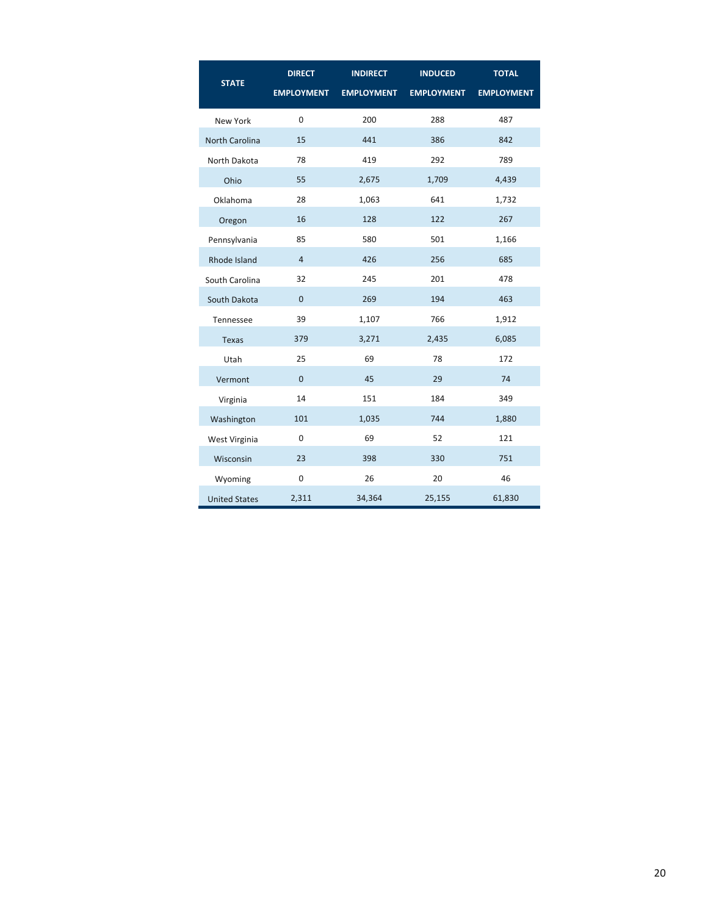| <b>STATE</b>         | <b>DIRECT</b>     | <b>INDIRECT</b>   | <b>INDUCED</b>    | <b>TOTAL</b>      |
|----------------------|-------------------|-------------------|-------------------|-------------------|
|                      | <b>EMPLOYMENT</b> | <b>EMPLOYMENT</b> | <b>EMPLOYMENT</b> | <b>EMPLOYMENT</b> |
| New York             | $\Omega$          | 200               | 288               | 487               |
| North Carolina       | 15                | 441               | 386               | 842               |
| North Dakota         | 78                | 419               | 292               | 789               |
| Ohio                 | 55                | 2,675             | 1,709             | 4,439             |
| Oklahoma             | 28                | 1,063             | 641               | 1,732             |
| Oregon               | 16                | 128               | 122               | 267               |
| Pennsylvania         | 85                | 580               | 501               | 1,166             |
| Rhode Island         | $\overline{4}$    | 426               | 256               | 685               |
| South Carolina       | 32                | 245               | 201               | 478               |
| South Dakota         | $\Omega$          | 269               | 194               | 463               |
| Tennessee            | 39                | 1,107             | 766               | 1,912             |
| <b>Texas</b>         | 379               | 3,271             | 2,435             | 6,085             |
| Utah                 | 25                | 69                | 78                | 172               |
| Vermont              | $\mathbf{0}$      | 45                | 29                | 74                |
| Virginia             | 14                | 151               | 184               | 349               |
| Washington           | 101               | 1,035             | 744               | 1,880             |
| West Virginia        | $\mathbf 0$       | 69                | 52                | 121               |
| Wisconsin            | 23                | 398               | 330               | 751               |
| Wyoming              | $\mathbf 0$       | 26                | 20                | 46                |
| <b>United States</b> | 2,311             | 34,364            | 25,155            | 61,830            |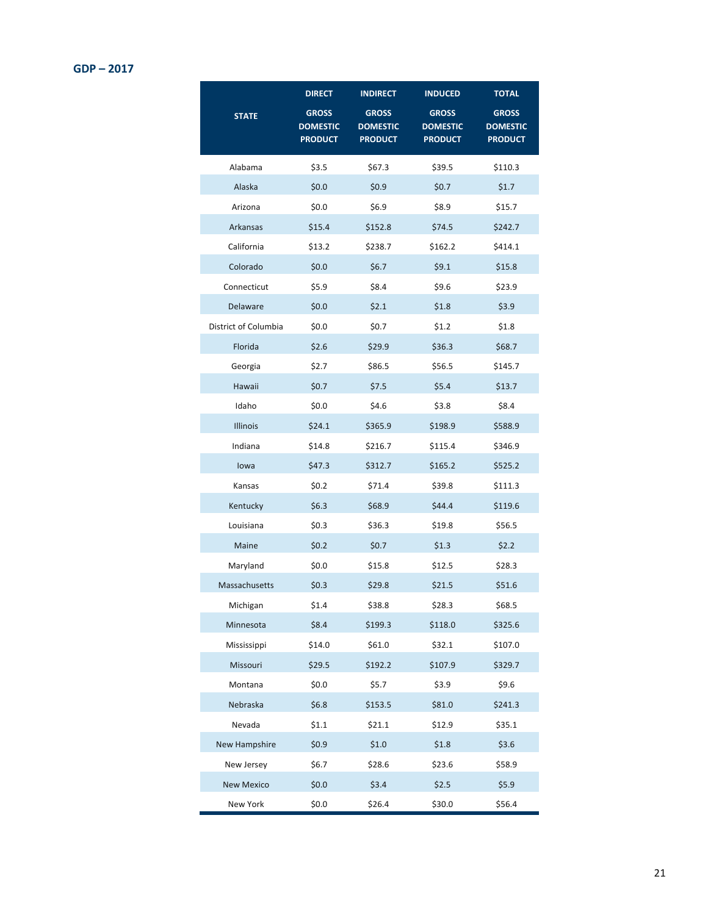### **GDP – 2017**

|                      | <b>DIRECT</b>                                     | <b>INDIRECT</b>                                   | <b>INDUCED</b>                                    | <b>TOTAL</b>                                      |
|----------------------|---------------------------------------------------|---------------------------------------------------|---------------------------------------------------|---------------------------------------------------|
| <b>STATE</b>         | <b>GROSS</b><br><b>DOMESTIC</b><br><b>PRODUCT</b> | <b>GROSS</b><br><b>DOMESTIC</b><br><b>PRODUCT</b> | <b>GROSS</b><br><b>DOMESTIC</b><br><b>PRODUCT</b> | <b>GROSS</b><br><b>DOMESTIC</b><br><b>PRODUCT</b> |
| Alabama              | \$3.5                                             | \$67.3                                            | \$39.5                                            | \$110.3                                           |
| Alaska               | \$0.0\$                                           | \$0.9                                             | \$0.7                                             | \$1.7                                             |
| Arizona              | \$0.0\$                                           | \$6.9                                             | \$8.9                                             | \$15.7                                            |
| Arkansas             | \$15.4                                            | \$152.8                                           | \$74.5                                            | \$242.7                                           |
| California           | \$13.2                                            | \$238.7                                           | \$162.2                                           | \$414.1                                           |
| Colorado             | \$0.0\$                                           | \$6.7                                             | \$9.1                                             | \$15.8                                            |
| Connecticut          | \$5.9                                             | \$8.4                                             | \$9.6                                             | \$23.9                                            |
| Delaware             | \$0.0\$                                           | \$2.1                                             | \$1.8                                             | \$3.9                                             |
| District of Columbia | \$0.0\$                                           | \$0.7                                             | \$1.2                                             | \$1.8                                             |
| Florida              | \$2.6                                             | \$29.9                                            | \$36.3                                            | \$68.7                                            |
| Georgia              | \$2.7                                             | \$86.5                                            | \$56.5                                            | \$145.7                                           |
| Hawaii               | \$0.7                                             | \$7.5                                             | \$5.4\$                                           | \$13.7                                            |
| Idaho                | \$0.0\$                                           | \$4.6                                             | \$3.8                                             | \$8.4                                             |
| Illinois             | \$24.1                                            | \$365.9                                           | \$198.9                                           | \$588.9                                           |
| Indiana              | \$14.8                                            | \$216.7                                           | \$115.4                                           | \$346.9                                           |
| lowa                 | \$47.3                                            | \$312.7                                           | \$165.2                                           | \$525.2                                           |
| Kansas               | \$0.2\$                                           | \$71.4                                            | \$39.8                                            | \$111.3                                           |
| Kentucky             | \$6.3                                             | \$68.9                                            | \$44.4                                            | \$119.6                                           |
| Louisiana            | \$0.3\$                                           | \$36.3                                            | \$19.8                                            | \$56.5                                            |
| Maine                | \$0.2\$                                           | \$0.7                                             | \$1.3                                             | \$2.2\$                                           |
| Maryland             | \$0.0\$                                           | \$15.8                                            | \$12.5                                            | \$28.3                                            |
| Massachusetts        | \$0.3\$                                           | \$29.8                                            | \$21.5                                            | \$51.6                                            |
| Michigan             | \$1.4                                             | \$38.8                                            | \$28.3                                            | \$68.5                                            |
| Minnesota            | \$8.4                                             | \$199.3                                           | \$118.0                                           | \$325.6                                           |
| Mississippi          | \$14.0                                            | \$61.0                                            | \$32.1                                            | \$107.0                                           |
| Missouri             | \$29.5                                            | \$192.2                                           | \$107.9                                           | \$329.7                                           |
| Montana              | \$0.0\$                                           | \$5.7                                             | \$3.9                                             | \$9.6                                             |
| Nebraska             | \$6.8\$                                           | \$153.5                                           | \$81.0                                            | \$241.3                                           |
| Nevada               | \$1.1                                             | \$21.1                                            | \$12.9                                            | \$35.1                                            |
| New Hampshire        | \$0.9                                             | \$1.0                                             | \$1.8                                             | \$3.6                                             |
| New Jersey           | \$6.7                                             | \$28.6                                            | \$23.6                                            | \$58.9                                            |
| <b>New Mexico</b>    | \$0.0\$                                           | \$3.4                                             | \$2.5                                             | \$5.9                                             |
| New York             | \$0.0\$                                           | \$26.4                                            | \$30.0                                            | \$56.4                                            |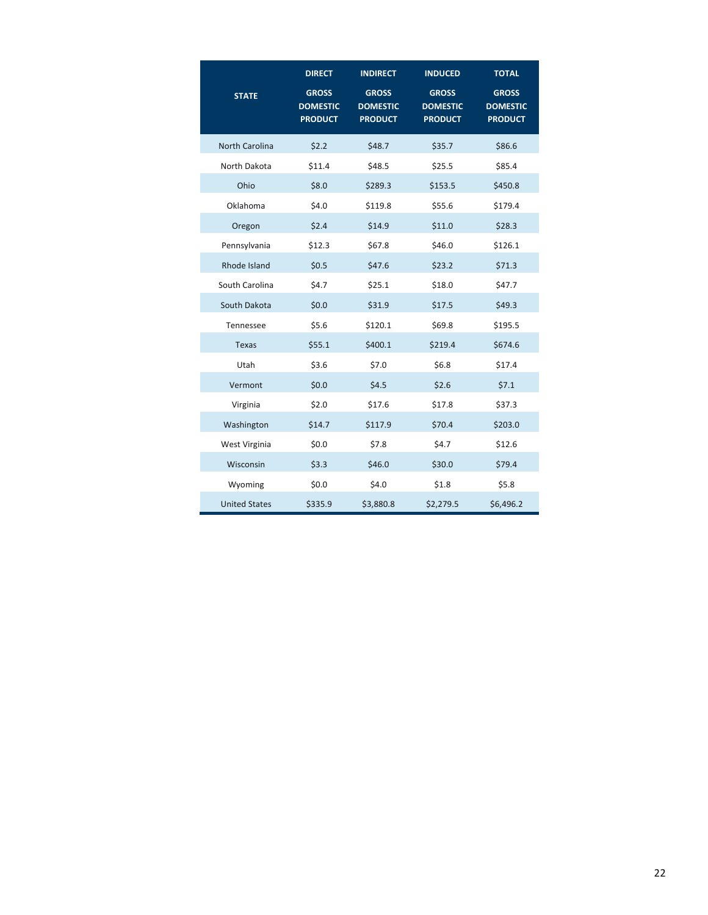|                       | <b>DIRECT</b>                                     | <b>INDIRECT</b>                                   | <b>INDUCED</b>                                    | <b>TOTAL</b>                                      |
|-----------------------|---------------------------------------------------|---------------------------------------------------|---------------------------------------------------|---------------------------------------------------|
| <b>STATE</b>          | <b>GROSS</b><br><b>DOMESTIC</b><br><b>PRODUCT</b> | <b>GROSS</b><br><b>DOMESTIC</b><br><b>PRODUCT</b> | <b>GROSS</b><br><b>DOMESTIC</b><br><b>PRODUCT</b> | <b>GROSS</b><br><b>DOMESTIC</b><br><b>PRODUCT</b> |
| <b>North Carolina</b> | \$2.2                                             | \$48.7                                            | \$35.7                                            | \$86.6                                            |
| North Dakota          | \$11.4                                            | \$48.5                                            | \$25.5                                            | \$85.4                                            |
| Ohio                  | \$8.0                                             | \$289.3                                           | \$153.5                                           | \$450.8                                           |
| Oklahoma              | \$4.0                                             | \$119.8                                           | \$55.6                                            | \$179.4                                           |
| Oregon                | \$2.4                                             | \$14.9                                            | \$11.0                                            | \$28.3                                            |
| Pennsylvania          | \$12.3                                            | \$67.8                                            | \$46.0                                            | \$126.1                                           |
| Rhode Island          | \$0.5                                             | \$47.6                                            | \$23.2                                            | \$71.3                                            |
| South Carolina        | \$4.7                                             | \$25.1                                            | \$18.0                                            | \$47.7                                            |
| South Dakota          | \$0.0\$                                           | \$31.9                                            | \$17.5                                            | \$49.3                                            |
| Tennessee             | \$5.6                                             | \$120.1                                           | \$69.8                                            | \$195.5                                           |
| <b>Texas</b>          | \$55.1                                            | \$400.1                                           | \$219.4                                           | \$674.6                                           |
| Utah                  | \$3.6                                             | \$7.0                                             | \$6.8                                             | \$17.4                                            |
| Vermont               | \$0.0\$                                           | \$4.5                                             | \$2.6                                             | \$7.1                                             |
| Virginia              | \$2.0                                             | \$17.6                                            | \$17.8                                            | \$37.3                                            |
| Washington            | \$14.7                                            | \$117.9                                           | \$70.4                                            | \$203.0                                           |
| West Virginia         | \$0.0\$                                           | \$7.8                                             | \$4.7                                             | \$12.6                                            |
| Wisconsin             | \$3.3                                             | \$46.0                                            | \$30.0                                            | \$79.4                                            |
| Wyoming               | \$0.0\$                                           | \$4.0                                             | \$1.8                                             | \$5.8                                             |
| <b>United States</b>  | \$335.9                                           | \$3,880.8                                         | \$2,279.5                                         | \$6,496.2                                         |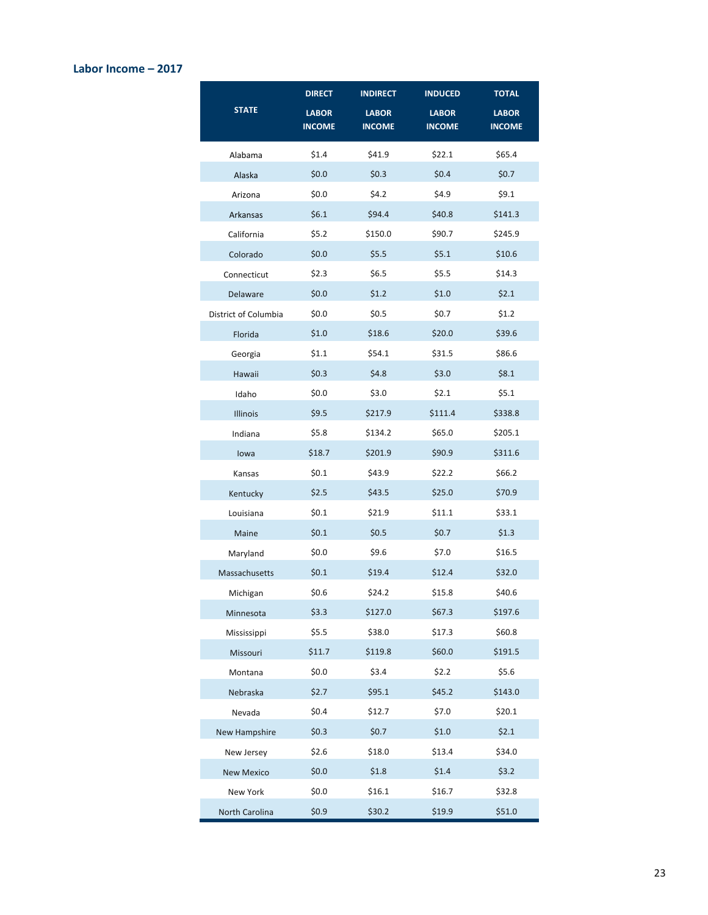### **Labor Income – 2017**

|                      | <b>DIRECT</b> | <b>INDIRECT</b> | <b>INDUCED</b> | <b>TOTAL</b>  |
|----------------------|---------------|-----------------|----------------|---------------|
| <b>STATE</b>         | <b>LABOR</b>  | <b>LABOR</b>    | <b>LABOR</b>   | <b>LABOR</b>  |
|                      | <b>INCOME</b> | <b>INCOME</b>   | <b>INCOME</b>  | <b>INCOME</b> |
| Alabama              | \$1.4         | \$41.9          | \$22.1         | \$65.4        |
| Alaska               | \$0.0\$       | \$0.3\$         | \$0.4\$        | \$0.7         |
| Arizona              | \$0.0\$       | \$4.2           | \$4.9          | \$9.1         |
| Arkansas             | \$6.1         | \$94.4          | \$40.8         | \$141.3       |
| California           | \$5.2         | \$150.0         | \$90.7         | \$245.9       |
| Colorado             | \$0.0\$       | \$5.5           | \$5.1          | \$10.6        |
| Connecticut          | \$2.3\$       | \$6.5           | \$5.5          | \$14.3        |
| Delaware             | \$0.0         | \$1.2           | \$1.0          | \$2.1         |
| District of Columbia | \$0.0\$       | \$0.5           | \$0.7          | \$1.2         |
| Florida              | \$1.0         | \$18.6          | \$20.0         | \$39.6        |
| Georgia              | \$1.1         | \$54.1          | \$31.5         | \$86.6        |
| Hawaii               | \$0.3\$       | \$4.8\$         | \$3.0          | \$8.1         |
| Idaho                | \$0.0\$       | \$3.0           | \$2.1          | \$5.1         |
| <b>Illinois</b>      | \$9.5         | \$217.9         | \$111.4        | \$338.8       |
| Indiana              | \$5.8\$       | \$134.2         | \$65.0         | \$205.1       |
| lowa                 | \$18.7        | \$201.9         | \$90.9         | \$311.6       |
| Kansas               | \$0.1         | \$43.9          | \$22.2         | \$66.2        |
| Kentucky             | \$2.5         | \$43.5          | \$25.0         | \$70.9        |
| Louisiana            | \$0.1         | \$21.9          | \$11.1         | \$33.1        |
| Maine                | \$0.1         | \$0.5           | \$0.7          | \$1.3         |
| Maryland             | \$0.0\$       | \$9.6           | \$7.0          | \$16.5        |
| Massachusetts        | \$0.1         | \$19.4          | \$12.4         | \$32.0        |
| Michigan             | \$0.6         | \$24.2          | \$15.8         | \$40.6        |
| Minnesota            | \$3.3         | \$127.0         | \$67.3         | \$197.6       |
| Mississippi          | \$5.5         | \$38.0          | \$17.3         | \$60.8        |
| Missouri             | \$11.7        | \$119.8         | \$60.0         | \$191.5       |
| Montana              | \$0.0\$       | \$3.4           | \$2.2\$        | \$5.6         |
| Nebraska             | \$2.7         | \$95.1          | \$45.2         | \$143.0       |
| Nevada               | \$0.4\$       | \$12.7          | \$7.0          | \$20.1        |
| New Hampshire        | \$0.3\$       | \$0.7           | \$1.0          | \$2.1         |
| New Jersey           | \$2.6         | \$18.0          | \$13.4         | \$34.0        |
| <b>New Mexico</b>    | \$0.0\$       | \$1.8           | \$1.4          | \$3.2         |
| New York             | \$0.0\$       | \$16.1          | \$16.7         | \$32.8        |
| North Carolina       | \$0.9         | \$30.2          | \$19.9         | \$51.0        |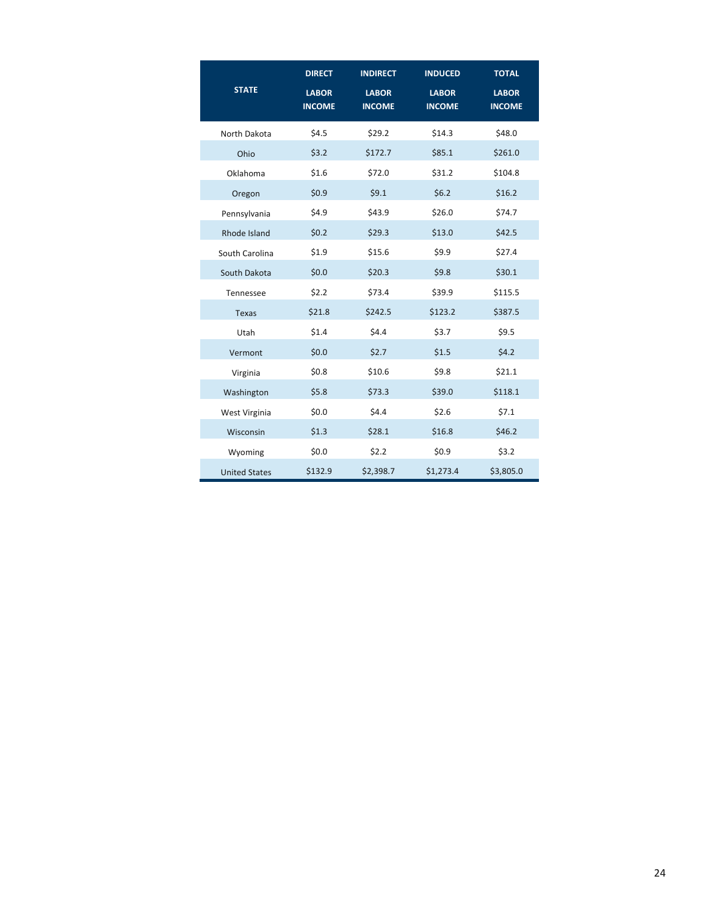|                      | <b>DIRECT</b>                 | <b>INDIRECT</b>               | <b>INDUCED</b>                | <b>TOTAL</b>                  |
|----------------------|-------------------------------|-------------------------------|-------------------------------|-------------------------------|
| <b>STATE</b>         | <b>LABOR</b><br><b>INCOME</b> | <b>LABOR</b><br><b>INCOME</b> | <b>LABOR</b><br><b>INCOME</b> | <b>LABOR</b><br><b>INCOME</b> |
| North Dakota         | \$4.5                         | \$29.2                        | \$14.3                        | \$48.0                        |
| Ohio                 | \$3.2                         | \$172.7                       | \$85.1                        | \$261.0                       |
| Oklahoma             | \$1.6                         | \$72.0                        | \$31.2                        | \$104.8                       |
| Oregon               | \$0.9                         | \$9.1                         | \$6.2                         | \$16.2                        |
| Pennsylvania         | \$4.9                         | \$43.9                        | \$26.0                        | \$74.7                        |
| Rhode Island         | \$0.2\$                       | \$29.3                        | \$13.0                        | \$42.5                        |
| South Carolina       | \$1.9                         | \$15.6                        | \$9.9                         | \$27.4                        |
| South Dakota         | \$0.0\$                       | \$20.3\$                      | \$9.8                         | \$30.1                        |
| Tennessee            | \$2.2                         | \$73.4                        | \$39.9                        | \$115.5                       |
| <b>Texas</b>         | \$21.8                        | \$242.5                       | \$123.2                       | \$387.5                       |
| Utah                 | \$1.4                         | \$4.4                         | \$3.7                         | \$9.5                         |
| Vermont              | \$0.0\$                       | \$2.7                         | \$1.5                         | \$4.2\$                       |
| Virginia             | \$0.8\$                       | \$10.6                        | \$9.8                         | \$21.1                        |
| Washington           | \$5.8                         | \$73.3                        | \$39.0                        | \$118.1                       |
| West Virginia        | \$0.0\$                       | \$4.4                         | \$2.6                         | \$7.1                         |
| Wisconsin            | \$1.3                         | \$28.1                        | \$16.8                        | \$46.2                        |
| Wyoming              | \$0.0\$                       | \$2.2                         | \$0.9                         | \$3.2                         |
| <b>United States</b> | \$132.9                       | \$2,398.7                     | \$1,273.4                     | \$3,805.0                     |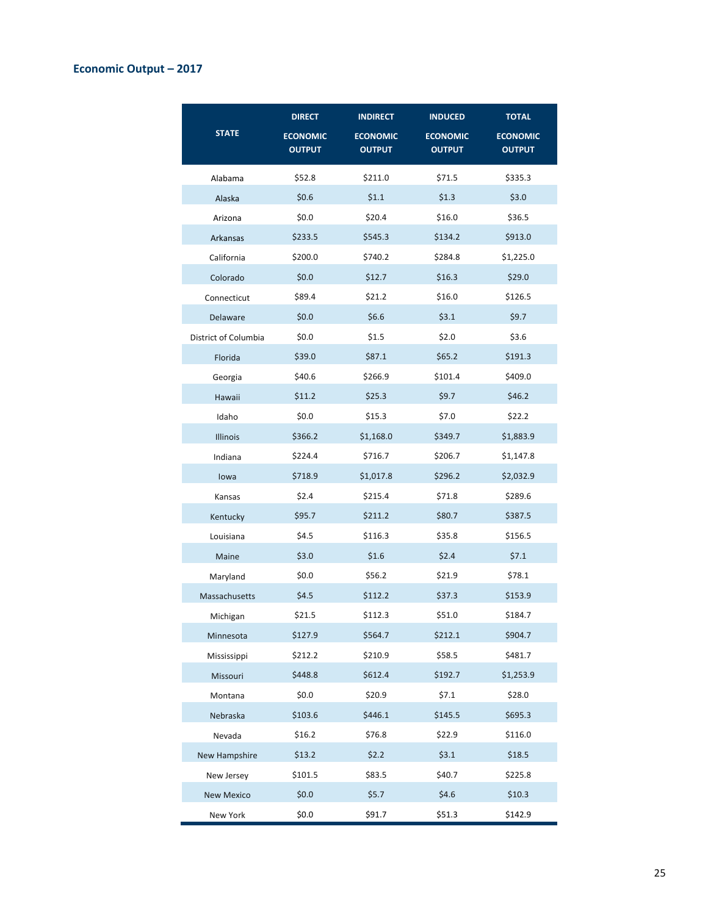## **Economic Output – 2017**

| <b>STATE</b>         | <b>DIRECT</b><br><b>ECONOMIC</b><br><b>OUTPUT</b> | <b>INDIRECT</b><br><b>ECONOMIC</b><br><b>OUTPUT</b> | <b>INDUCED</b><br><b>ECONOMIC</b><br><b>OUTPUT</b> | <b>TOTAL</b><br><b>ECONOMIC</b><br><b>OUTPUT</b> |
|----------------------|---------------------------------------------------|-----------------------------------------------------|----------------------------------------------------|--------------------------------------------------|
| Alabama              | \$52.8                                            | \$211.0                                             | \$71.5                                             | \$335.3                                          |
| Alaska               | \$0.6\$                                           | \$1.1                                               | \$1.3                                              | \$3.0                                            |
| Arizona              | \$0.0\$                                           | \$20.4                                              | \$16.0                                             | \$36.5                                           |
| Arkansas             | \$233.5                                           | \$545.3                                             | \$134.2                                            | \$913.0                                          |
| California           | \$200.0                                           | \$740.2                                             | \$284.8                                            | \$1,225.0                                        |
| Colorado             | \$0.0\$                                           | \$12.7                                              | \$16.3                                             | \$29.0                                           |
| Connecticut          | \$89.4                                            | \$21.2                                              | \$16.0                                             | \$126.5                                          |
| Delaware             | \$0.0\$                                           | \$6.6\$                                             | \$3.1                                              | \$9.7                                            |
| District of Columbia | \$0.0                                             | \$1.5                                               | \$2.0                                              | \$3.6                                            |
| Florida              | \$39.0                                            | \$87.1                                              | \$65.2                                             | \$191.3                                          |
| Georgia              | \$40.6                                            | \$266.9                                             | \$101.4                                            | \$409.0                                          |
| Hawaii               | \$11.2                                            | \$25.3                                              | \$9.7                                              | \$46.2                                           |
| Idaho                | \$0.0\$                                           | \$15.3                                              | \$7.0                                              | \$22.2                                           |
| Illinois             | \$366.2                                           | \$1,168.0                                           | \$349.7                                            | \$1,883.9                                        |
| Indiana              | \$224.4                                           | \$716.7                                             | \$206.7                                            | \$1,147.8                                        |
| lowa                 | \$718.9                                           | \$1,017.8                                           | \$296.2                                            | \$2,032.9                                        |
| Kansas               | \$2.4                                             | \$215.4                                             | \$71.8                                             | \$289.6                                          |
| Kentucky             | \$95.7                                            | \$211.2                                             | \$80.7                                             | \$387.5                                          |
| Louisiana            | \$4.5                                             | \$116.3                                             | \$35.8                                             | \$156.5                                          |
| Maine                | \$3.0                                             | \$1.6                                               | \$2.4                                              | \$7.1                                            |
| Maryland             | \$0.0                                             | \$56.2                                              | \$21.9                                             | \$78.1                                           |
| Massachusetts        | \$4.5                                             | \$112.2                                             | \$37.3                                             | \$153.9                                          |
| Michigan             | \$21.5                                            | \$112.3                                             | \$51.0                                             | \$184.7                                          |
| Minnesota            | \$127.9                                           | \$564.7                                             | \$212.1                                            | \$904.7                                          |
| Mississippi          | \$212.2                                           | \$210.9                                             | \$58.5                                             | \$481.7                                          |
| Missouri             | \$448.8                                           | \$612.4                                             | \$192.7                                            | \$1,253.9                                        |
| Montana              | \$0.0\$                                           | \$20.9                                              | \$7.1                                              | \$28.0                                           |
| Nebraska             | \$103.6                                           | \$446.1                                             | \$145.5                                            | \$695.3                                          |
| Nevada               | \$16.2                                            | \$76.8                                              | \$22.9                                             | \$116.0                                          |
| New Hampshire        | \$13.2                                            | \$2.2                                               | \$3.1                                              | \$18.5                                           |
| New Jersey           | \$101.5                                           | \$83.5                                              | \$40.7                                             | \$225.8                                          |
| <b>New Mexico</b>    | \$0.0\$                                           | \$5.7                                               | \$4.6\$                                            | \$10.3\$                                         |
| New York             | \$0.0\$                                           | \$91.7                                              | \$51.3                                             | \$142.9                                          |